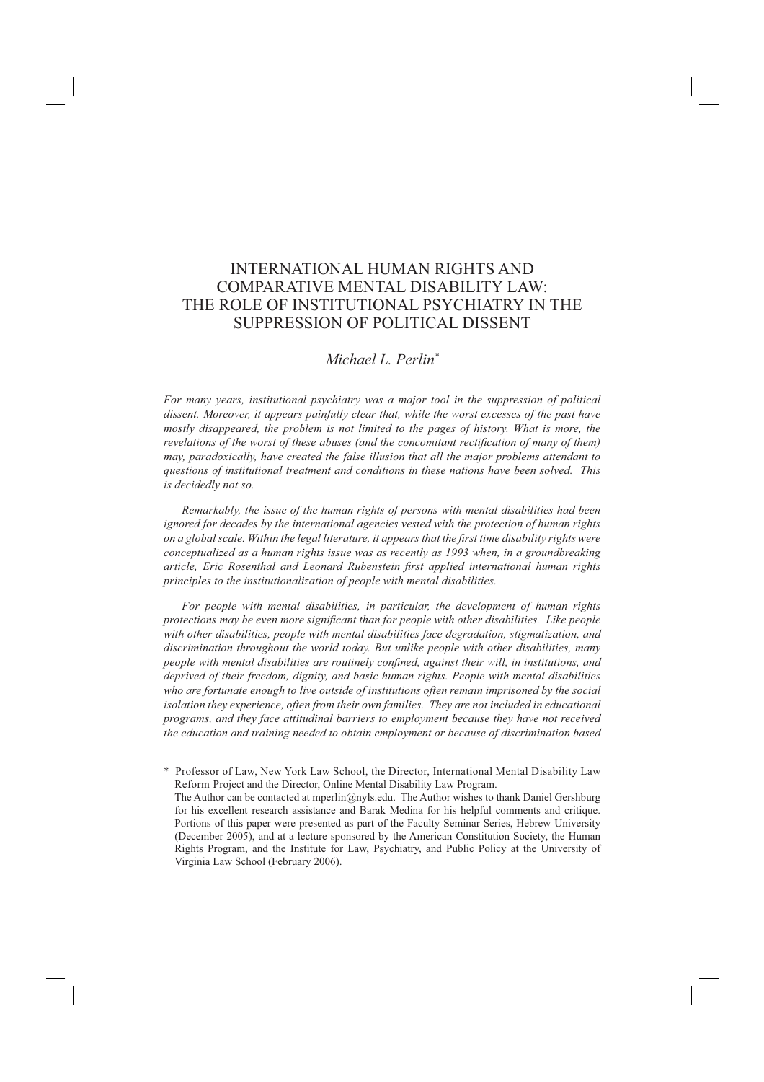# INTERNATIONAL HUMAN RIGHTS AND COMPARATIVE MENTAL DISABILITY LAW: THE ROLE OF INSTITUTIONAL PSYCHIATRY IN THE SUPPRESSION OF POLITICAL DISSENT

# *Michael L. Perlin\**

*For many years, institutional psychiatry was a major tool in the suppression of political dissent. Moreover, it appears painfully clear that, while the worst excesses of the past have mostly disappeared, the problem is not limited to the pages of history. What is more, the revelations of the worst of these abuses (and the concomitant rectification of many of them) may, paradoxically, have created the false illusion that all the major problems attendant to questions of institutional treatment and conditions in these nations have been solved. This is decidedly not so.*

*Remarkably, the issue of the human rights of persons with mental disabilities had been ignored for decades by the international agencies vested with the protection of human rights on a global scale. Within the legal literature, it appears that the first time disability rights were conceptualized as a human rights issue was as recently as 1993 when, in a groundbreaking article, Eric Rosenthal and Leonard Rubenstein first applied international human rights principles to the institutionalization of people with mental disabilities.*

*For people with mental disabilities, in particular, the development of human rights protections may be even more significant than for people with other disabilities. Like people with other disabilities, people with mental disabilities face degradation, stigmatization, and discrimination throughout the world today. But unlike people with other disabilities, many people with mental disabilities are routinely confined, against their will, in institutions, and deprived of their freedom, dignity, and basic human rights. People with mental disabilities who are fortunate enough to live outside of institutions often remain imprisoned by the social*  isolation they experience, often from their own families. They are not included in educational *programs, and they face attitudinal barriers to employment because they have not received the education and training needed to obtain employment or because of discrimination based* 

\* Professor of Law, New York Law School, the Director, International Mental Disability Law Reform Project and the Director, Online Mental Disability Law Program. The Author can be contacted at mperlin@nyls.edu. The Author wishes to thank Daniel Gershburg for his excellent research assistance and Barak Medina for his helpful comments and critique. Portions of this paper were presented as part of the Faculty Seminar Series, Hebrew University (December 2005), and at a lecture sponsored by the American Constitution Society, the Human Rights Program, and the Institute for Law, Psychiatry, and Public Policy at the University of Virginia Law School (February 2006).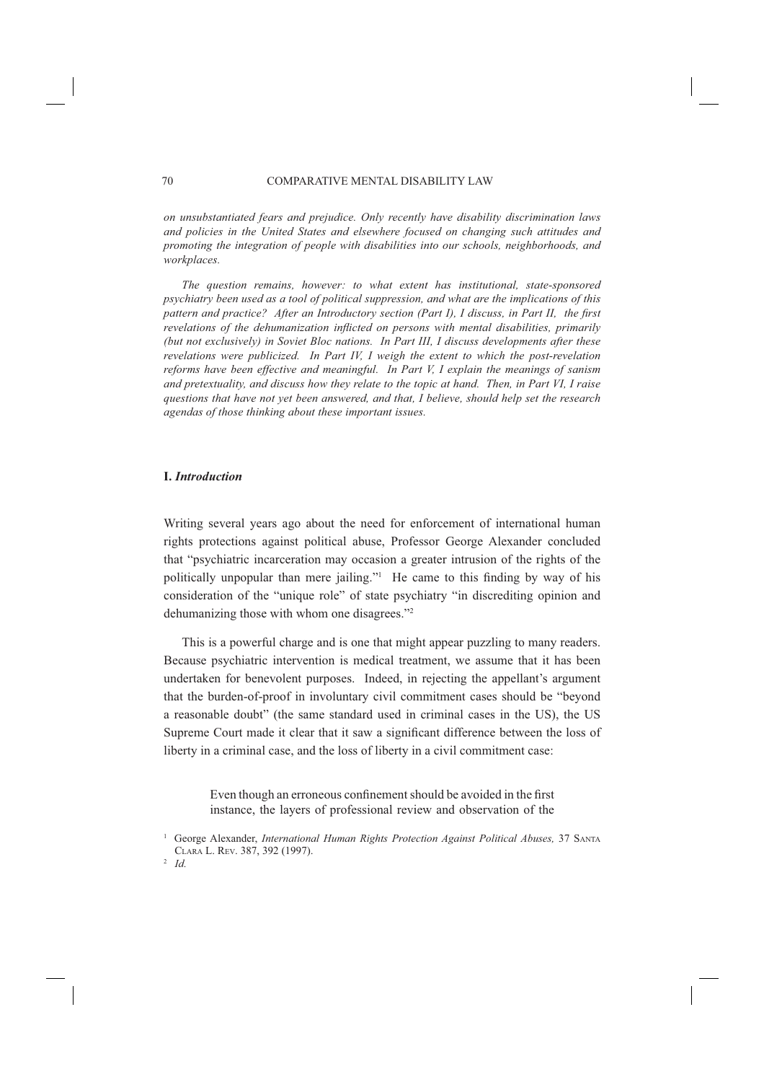*on unsubstantiated fears and prejudice. Only recently have disability discrimination laws and policies in the United States and elsewhere focused on changing such attitudes and promoting the integration of people with disabilities into our schools, neighborhoods, and workplaces.*

*The question remains, however: to what extent has institutional, state-sponsored psychiatry been used as a tool of political suppression, and what are the implications of this pattern and practice? After an Introductory section (Part I), I discuss, in Part II, the first revelations of the dehumanization inflicted on persons with mental disabilities, primarily (but not exclusively) in Soviet Bloc nations. In Part III, I discuss developments after these revelations were publicized. In Part IV, I weigh the extent to which the post-revelation reforms have been effective and meaningful. In Part V, I explain the meanings of sanism and pretextuality, and discuss how they relate to the topic at hand. Then, in Part VI, I raise questions that have not yet been answered, and that, I believe, should help set the research agendas of those thinking about these important issues.* 

# **I.** *Introduction*

Writing several years ago about the need for enforcement of international human rights protections against political abuse, Professor George Alexander concluded that "psychiatric incarceration may occasion a greater intrusion of the rights of the politically unpopular than mere jailing."1 He came to this finding by way of his consideration of the "unique role" of state psychiatry "in discrediting opinion and dehumanizing those with whom one disagrees."2

This is a powerful charge and is one that might appear puzzling to many readers. Because psychiatric intervention is medical treatment, we assume that it has been undertaken for benevolent purposes. Indeed, in rejecting the appellant's argument that the burden-of-proof in involuntary civil commitment cases should be "beyond a reasonable doubt" (the same standard used in criminal cases in the US), the US Supreme Court made it clear that it saw a significant difference between the loss of liberty in a criminal case, and the loss of liberty in a civil commitment case:

> Even though an erroneous confinement should be avoided in the first instance, the layers of professional review and observation of the

<sup>1</sup> George Alexander, *International Human Rights Protection Against Political Abuses,* 37 SANTA CLARA L. REV. 387, 392 (1997). 2 *Id.*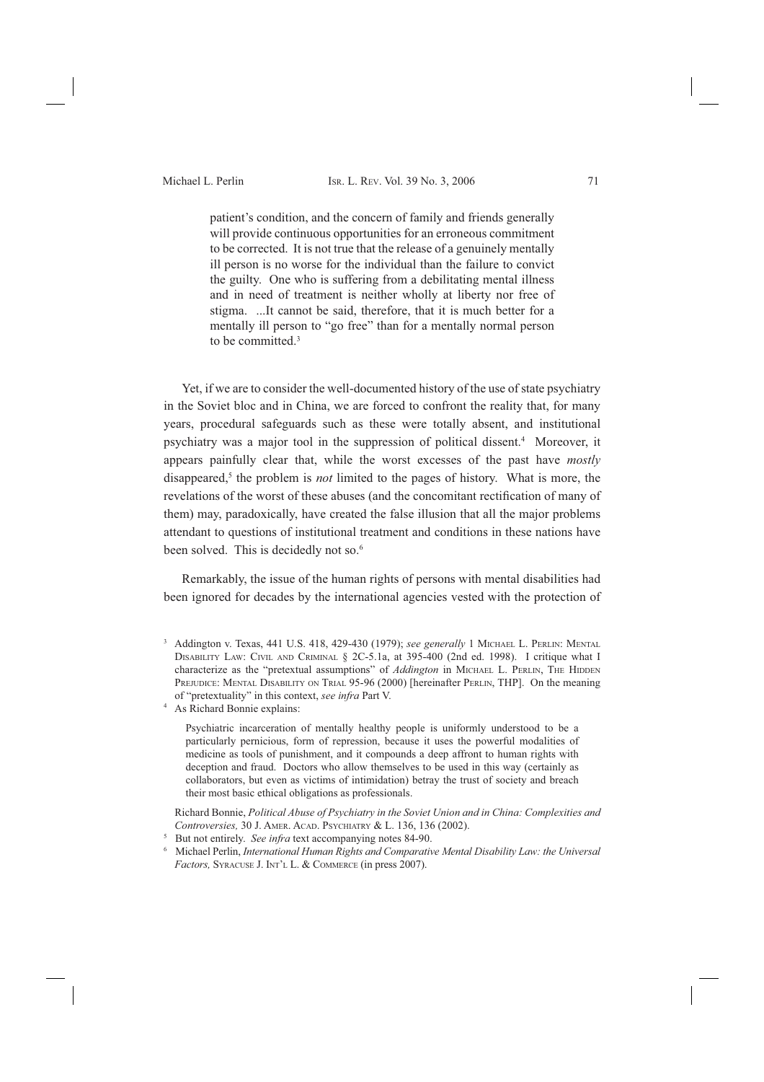patient's condition, and the concern of family and friends generally will provide continuous opportunities for an erroneous commitment to be corrected. It is not true that the release of a genuinely mentally ill person is no worse for the individual than the failure to convict the guilty. One who is suffering from a debilitating mental illness and in need of treatment is neither wholly at liberty nor free of stigma. ...It cannot be said, therefore, that it is much better for a mentally ill person to "go free" than for a mentally normal person to be committed.<sup>3</sup>

Yet, if we are to consider the well-documented history of the use of state psychiatry in the Soviet bloc and in China, we are forced to confront the reality that, for many years, procedural safeguards such as these were totally absent, and institutional psychiatry was a major tool in the suppression of political dissent.<sup>4</sup> Moreover, it appears painfully clear that, while the worst excesses of the past have *mostly*  disappeared,<sup>5</sup> the problem is *not* limited to the pages of history. What is more, the revelations of the worst of these abuses (and the concomitant rectification of many of them) may, paradoxically, have created the false illusion that all the major problems attendant to questions of institutional treatment and conditions in these nations have been solved. This is decidedly not so.<sup>6</sup>

Remarkably, the issue of the human rights of persons with mental disabilities had been ignored for decades by the international agencies vested with the protection of

Psychiatric incarceration of mentally healthy people is uniformly understood to be a particularly pernicious, form of repression, because it uses the powerful modalities of medicine as tools of punishment, and it compounds a deep affront to human rights with deception and fraud. Doctors who allow themselves to be used in this way (certainly as collaborators, but even as victims of intimidation) betray the trust of society and breach their most basic ethical obligations as professionals.

Richard Bonnie, *Political Abuse of Psychiatry in the Soviet Union and in China: Complexities and Controversies,* 30 J. AMER. ACAD. PSYCHIATRY & L. 136, 136 (2002).

<sup>&</sup>lt;sup>3</sup> Addington v. Texas, 441 U.S. 418, 429-430 (1979); see generally 1 MICHAEL L. PERLIN: MENTAL DISABILITY LAW: CIVIL AND CRIMINAL § 2C-5.1a, at 395-400 (2nd ed. 1998). I critique what I characterize as the "pretextual assumptions" of *Addington* in MICHAEL L. PERLIN, THE HIDDEN PREJUDICE: MENTAL DISABILITY ON TRIAL 95-96 (2000) [hereinafter PERLIN, THP]. On the meaning of "pretextuality" in this context, *see infra* Part V.

<sup>4</sup> As Richard Bonnie explains:

<sup>5</sup> But not entirely. *See infra* text accompanying notes 84-90.

<sup>6</sup> Michael Perlin, *International Human Rights and Comparative Mental Disability Law: the Universal Factors,* SYRACUSE J. INT'L L. & COMMERCE (in press 2007).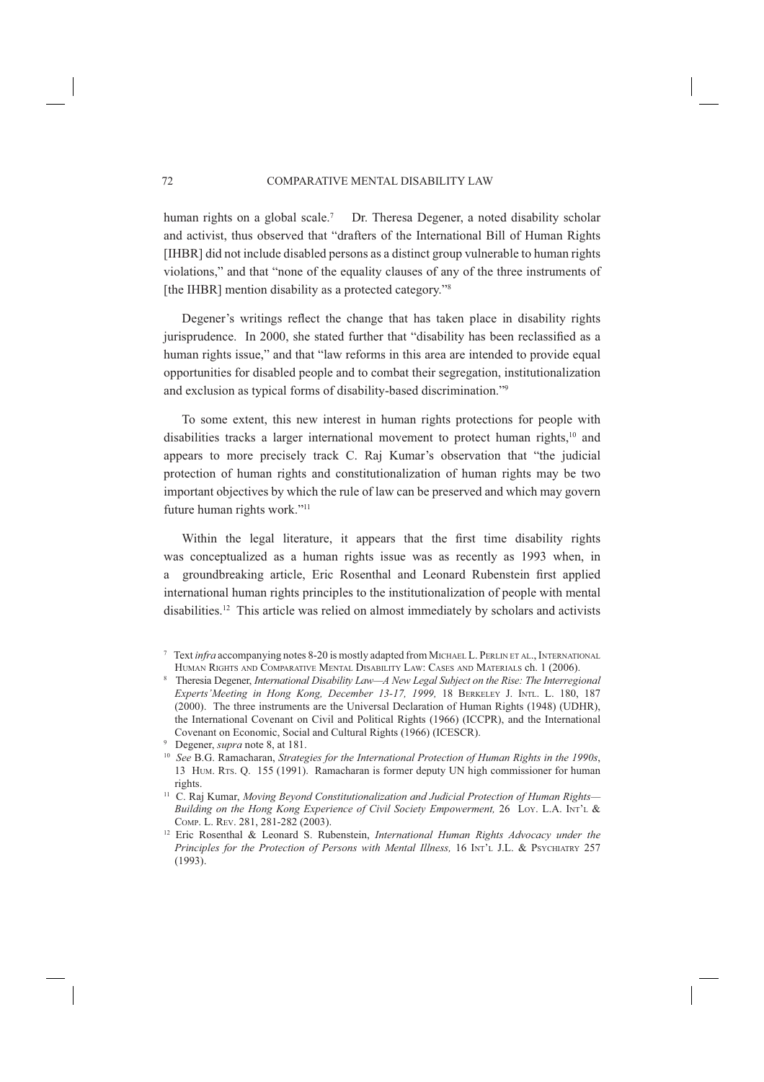human rights on a global scale.<sup>7</sup> Dr. Theresa Degener, a noted disability scholar and activist, thus observed that "drafters of the International Bill of Human Rights [IHBR] did not include disabled persons as a distinct group vulnerable to human rights violations," and that "none of the equality clauses of any of the three instruments of [the IHBR] mention disability as a protected category."<sup>8</sup>

Degener's writings reflect the change that has taken place in disability rights jurisprudence. In 2000, she stated further that "disability has been reclassified as a human rights issue," and that "law reforms in this area are intended to provide equal opportunities for disabled people and to combat their segregation, institutionalization and exclusion as typical forms of disability-based discrimination."9

To some extent, this new interest in human rights protections for people with disabilities tracks a larger international movement to protect human rights,<sup>10</sup> and appears to more precisely track C. Raj Kumar's observation that "the judicial protection of human rights and constitutionalization of human rights may be two important objectives by which the rule of law can be preserved and which may govern future human rights work."11

Within the legal literature, it appears that the first time disability rights was conceptualized as a human rights issue was as recently as 1993 when, in a groundbreaking article, Eric Rosenthal and Leonard Rubenstein first applied international human rights principles to the institutionalization of people with mental disabilities.12 This article was relied on almost immediately by scholars and activists

<sup>7</sup> Text *infra* accompanying notes 8-20 is mostly adapted from MICHAEL L. PERLIN ET AL., INTERNATIONAL HUMAN RIGHTS AND COMPARATIVE MENTAL DISABILITY LAW: CASES AND MATERIALS ch. 1 (2006).

<sup>8</sup> Theresia Degener, *International Disability Law—A New Legal Subject on the Rise: The Interregional Experts'Meeting in Hong Kong, December 13-17, 1999,* 18 BERKELEY J. INTL. L. 180, 187 (2000). The three instruments are the Universal Declaration of Human Rights (1948) (UDHR), the International Covenant on Civil and Political Rights (1966) (ICCPR), and the International Covenant on Economic, Social and Cultural Rights (1966) (ICESCR).

<sup>9</sup> Degener, *supra* note 8, at 181.

<sup>10</sup> *See* B.G. Ramacharan, *Strategies for the International Protection of Human Rights in the 1990s*, 13 HUM. RTS. Q. 155 (1991). Ramacharan is former deputy UN high commissioner for human rights.

<sup>11</sup> C. Raj Kumar, *Moving Beyond Constitutionalization and Judicial Protection of Human Rights— Building on the Hong Kong Experience of Civil Society Empowerment,* 26 LOY. L.A. INT'L &

COMP. L. REV. 281, 281-282 (2003). 12 Eric Rosenthal & Leonard S. Rubenstein, *International Human Rights Advocacy under the Principles for the Protection of Persons with Mental Illness,* 16 INT'L J.L. & PSYCHIATRY 257 (1993).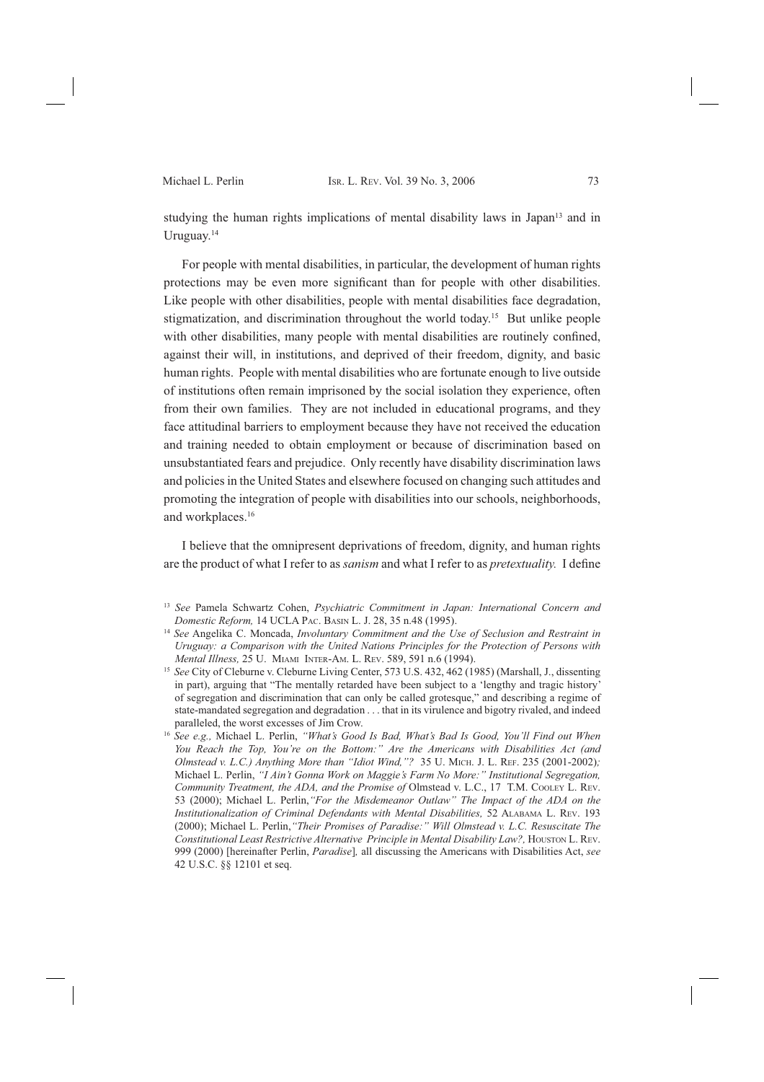studying the human rights implications of mental disability laws in Japan<sup>13</sup> and in Uruguay.14

For people with mental disabilities, in particular, the development of human rights protections may be even more significant than for people with other disabilities. Like people with other disabilities, people with mental disabilities face degradation, stigmatization, and discrimination throughout the world today.15 But unlike people with other disabilities, many people with mental disabilities are routinely confined, against their will, in institutions, and deprived of their freedom, dignity, and basic human rights. People with mental disabilities who are fortunate enough to live outside of institutions often remain imprisoned by the social isolation they experience, often from their own families. They are not included in educational programs, and they face attitudinal barriers to employment because they have not received the education and training needed to obtain employment or because of discrimination based on unsubstantiated fears and prejudice. Only recently have disability discrimination laws and policies in the United States and elsewhere focused on changing such attitudes and promoting the integration of people with disabilities into our schools, neighborhoods, and workplaces.16

I believe that the omnipresent deprivations of freedom, dignity, and human rights are the product of what I refer to as *sanism* and what I refer to as *pretextuality.* I define

<sup>13</sup>*See* Pamela Schwartz Cohen, *Psychiatric Commitment in Japan: International Concern and Domestic Reform,* 14 UCLA PAC. BASIN L. J. 28, 35 n.48 (1995).

<sup>14</sup> *See* Angelika C. Moncada, *Involuntary Commitment and the Use of Seclusion and Restraint in Uruguay: a Comparison with the United Nations Principles for the Protection of Persons with Mental Illness,* 25 U. MIAMI INTER-AM. L. REV. 589, 591 n.6 (1994).

<sup>&</sup>lt;sup>15</sup> See City of Cleburne v. Cleburne Living Center, 573 U.S. 432, 462 (1985) (Marshall, J., dissenting in part), arguing that "The mentally retarded have been subject to a 'lengthy and tragic history' of segregation and discrimination that can only be called grotesque," and describing a regime of state-mandated segregation and degradation . . . that in its virulence and bigotry rivaled, and indeed paralleled, the worst excesses of Jim Crow.

<sup>16</sup> *See e.g.,* Michael L. Perlin, *"What's Good Is Bad, What's Bad Is Good, You'll Find out When You Reach the Top, You're on the Bottom:" Are the Americans with Disabilities Act (and Olmstead v. L.C.) Anything More than "Idiot Wind,"?* 35 U. MICH. J. L. REF. 235 (2001-2002)*;*  Michael L. Perlin, *"I Ain't Gonna Work on Maggie's Farm No More:" Institutional Segregation, Community Treatment, the ADA, and the Promise of* Olmstead v. L.C., 17 T.M. COOLEY L. REV. 53 (2000); Michael L. Perlin,*"For the Misdemeanor Outlaw" The Impact of the ADA on the Institutionalization of Criminal Defendants with Mental Disabilities,* 52 ALABAMA L. REV. 193 (2000); Michael L. Perlin,*"Their Promises of Paradise:" Will Olmstead v. L.C. Resuscitate The Constitutional Least Restrictive Alternative Principle in Mental Disability Law?,* HOUSTON L. REV. 999 (2000) [hereinafter Perlin, *Paradise*]*,* all discussing the Americans with Disabilities Act, *see* 42 U.S.C. §§ 12101 et seq.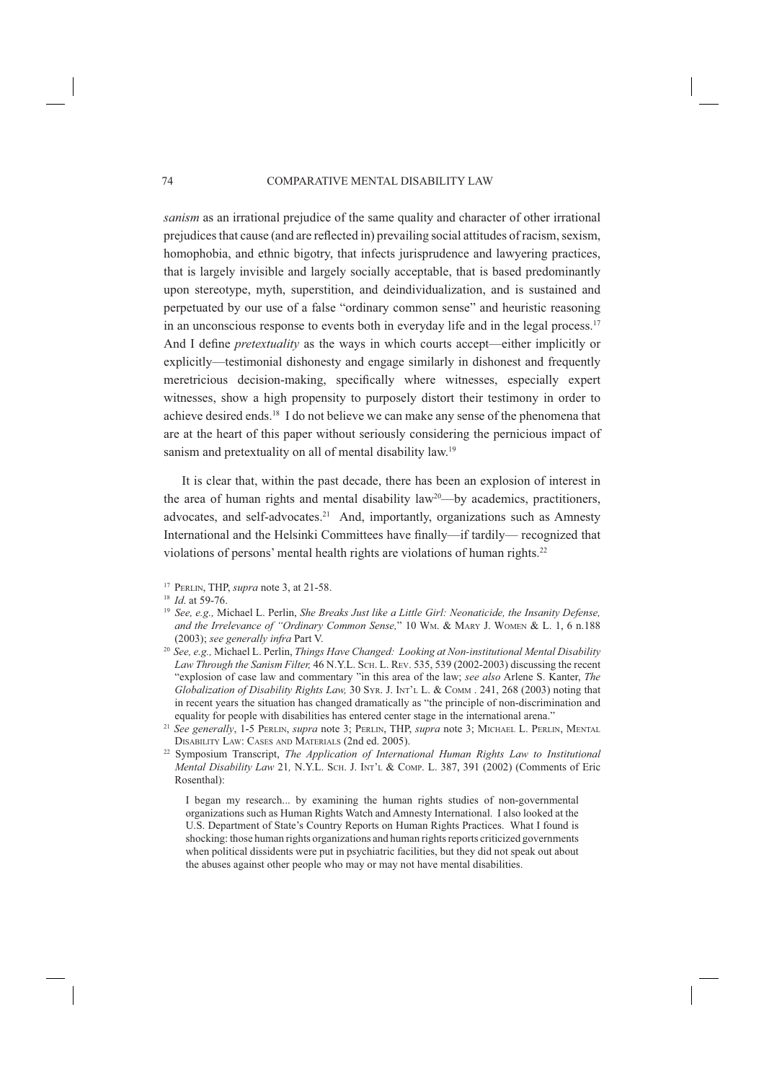*sanism* as an irrational prejudice of the same quality and character of other irrational prejudices that cause (and are reflected in) prevailing social attitudes of racism, sexism, homophobia, and ethnic bigotry, that infects jurisprudence and lawyering practices, that is largely invisible and largely socially acceptable, that is based predominantly upon stereotype, myth, superstition, and deindividualization, and is sustained and perpetuated by our use of a false "ordinary common sense" and heuristic reasoning in an unconscious response to events both in everyday life and in the legal process.<sup>17</sup> And I define *pretextuality* as the ways in which courts accept—either implicitly or explicitly—testimonial dishonesty and engage similarly in dishonest and frequently meretricious decision-making, specifically where witnesses, especially expert witnesses, show a high propensity to purposely distort their testimony in order to achieve desired ends.18 I do not believe we can make any sense of the phenomena that are at the heart of this paper without seriously considering the pernicious impact of sanism and pretextuality on all of mental disability law.<sup>19</sup>

It is clear that, within the past decade, there has been an explosion of interest in the area of human rights and mental disability law<sup>20</sup>—by academics, practitioners, advocates, and self-advocates.<sup>21</sup> And, importantly, organizations such as Amnesty International and the Helsinki Committees have finally—if tardily— recognized that violations of persons' mental health rights are violations of human rights.<sup>22</sup>

- <sup>19</sup>*See, e.g.,* Michael L. Perlin, *She Breaks Just like a Little Girl: Neonaticide, the Insanity Defense, and the Irrelevance of "Ordinary Common Sense,*" 10 WM. & MARY J. WOMEN & L. 1, 6 n.188 (2003); *see generally infra* Part V.
- <sup>20</sup>*See, e.g.,* Michael L. Perlin, *Things Have Changed: Looking at Non-institutional Mental Disability Law Through the Sanism Filter,* 46 N.Y.L. SCH. L. REV. 535, 539 (2002-2003) discussing the recent "explosion of case law and commentary "in this area of the law; *see also* Arlene S. Kanter, *The Globalization of Disability Rights Law,* 30 SYR. J. INT'L L. & COMM . 241, 268 (2003) noting that in recent years the situation has changed dramatically as "the principle of non-discrimination and equality for people with disabilities has entered center stage in the international arena."

22 Symposium Transcript, *The Application of International Human Rights Law to Institutional Mental Disability Law* 21*,* N.Y.L. SCH. J. INT'L & COMP. L. 387, 391 (2002) (Comments of Eric Rosenthal):

I began my research... by examining the human rights studies of non-governmental organizations such as Human Rights Watch and Amnesty International. I also looked at the U.S. Department of State's Country Reports on Human Rights Practices. What I found is shocking: those human rights organizations and human rights reports criticized governments when political dissidents were put in psychiatric facilities, but they did not speak out about the abuses against other people who may or may not have mental disabilities.

<sup>17</sup> PERLIN, THP, *supra* note 3, at 21-58.

<sup>18</sup>*Id*. at 59-76.

<sup>21</sup>*See generally*, 1-5 PERLIN, *supra* note 3; PERLIN, THP, *supra* note 3; MICHAEL L. PERLIN, MENTAL DISABILITY LAW: CASES AND MATERIALS (2nd ed. 2005).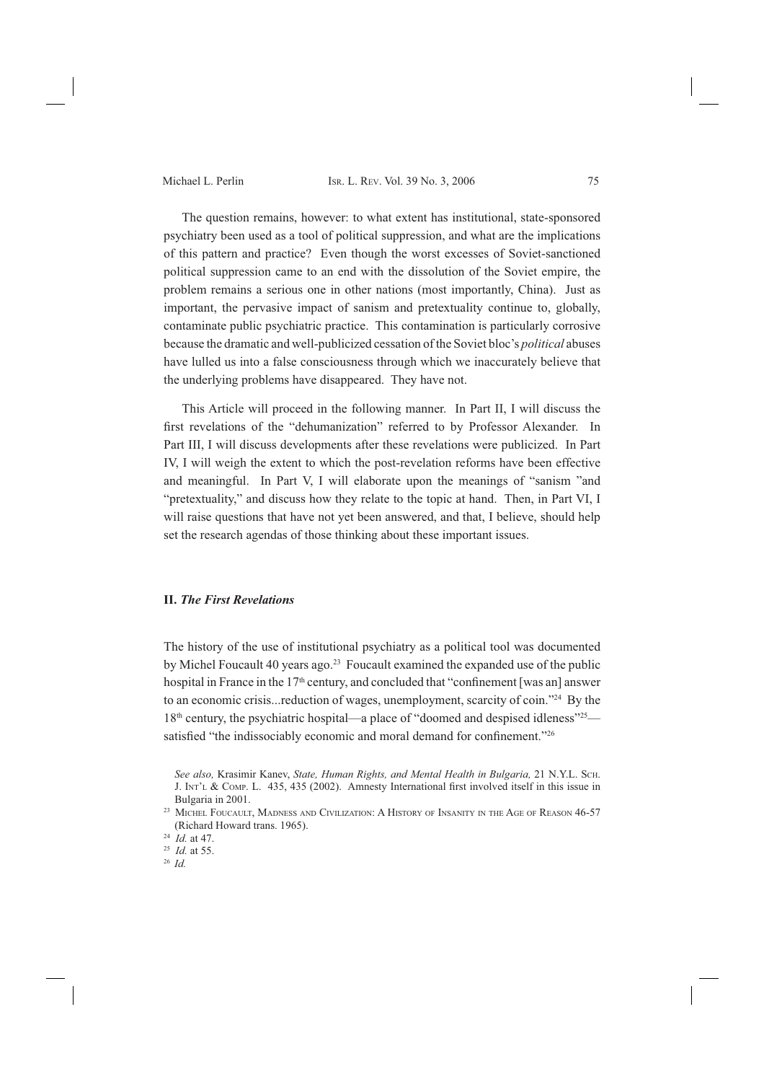The question remains, however: to what extent has institutional, state-sponsored psychiatry been used as a tool of political suppression, and what are the implications of this pattern and practice? Even though the worst excesses of Soviet-sanctioned political suppression came to an end with the dissolution of the Soviet empire, the problem remains a serious one in other nations (most importantly, China). Just as important, the pervasive impact of sanism and pretextuality continue to, globally, contaminate public psychiatric practice. This contamination is particularly corrosive because the dramatic and well-publicized cessation of the Soviet bloc's *political* abuses have lulled us into a false consciousness through which we inaccurately believe that the underlying problems have disappeared. They have not.

This Article will proceed in the following manner. In Part II, I will discuss the first revelations of the "dehumanization" referred to by Professor Alexander. In Part III, I will discuss developments after these revelations were publicized. In Part IV, I will weigh the extent to which the post-revelation reforms have been effective and meaningful. In Part V, I will elaborate upon the meanings of "sanism "and "pretextuality," and discuss how they relate to the topic at hand. Then, in Part VI, I will raise questions that have not yet been answered, and that, I believe, should help set the research agendas of those thinking about these important issues.

# **II.** *The First Revelations*

The history of the use of institutional psychiatry as a political tool was documented by Michel Foucault 40 years ago.<sup>23</sup> Foucault examined the expanded use of the public hospital in France in the 17<sup>th</sup> century, and concluded that "confinement [was an] answer to an economic crisis...reduction of wages, unemployment, scarcity of coin."24 By the 18<sup>th</sup> century, the psychiatric hospital—a place of "doomed and despised idleness"<sup>25</sup> satisfied "the indissociably economic and moral demand for confinement."<sup>26</sup>

*See also,* Krasimir Kanev, *State, Human Rights, and Mental Health in Bulgaria,* 21 N.Y.L. SCH. J. INT'L & COMP. L. 435, 435 (2002). Amnesty International first involved itself in this issue in Bulgaria in 2001.

<sup>&</sup>lt;sup>23</sup> MICHEL FOUCAULT, MADNESS AND CIVILIZATION: A HISTORY OF INSANITY IN THE AGE OF REASON 46-57 (Richard Howard trans. 1965). 24 *Id.* at 47.

<sup>25</sup> *Id.* at 55.

<sup>26</sup> *Id.*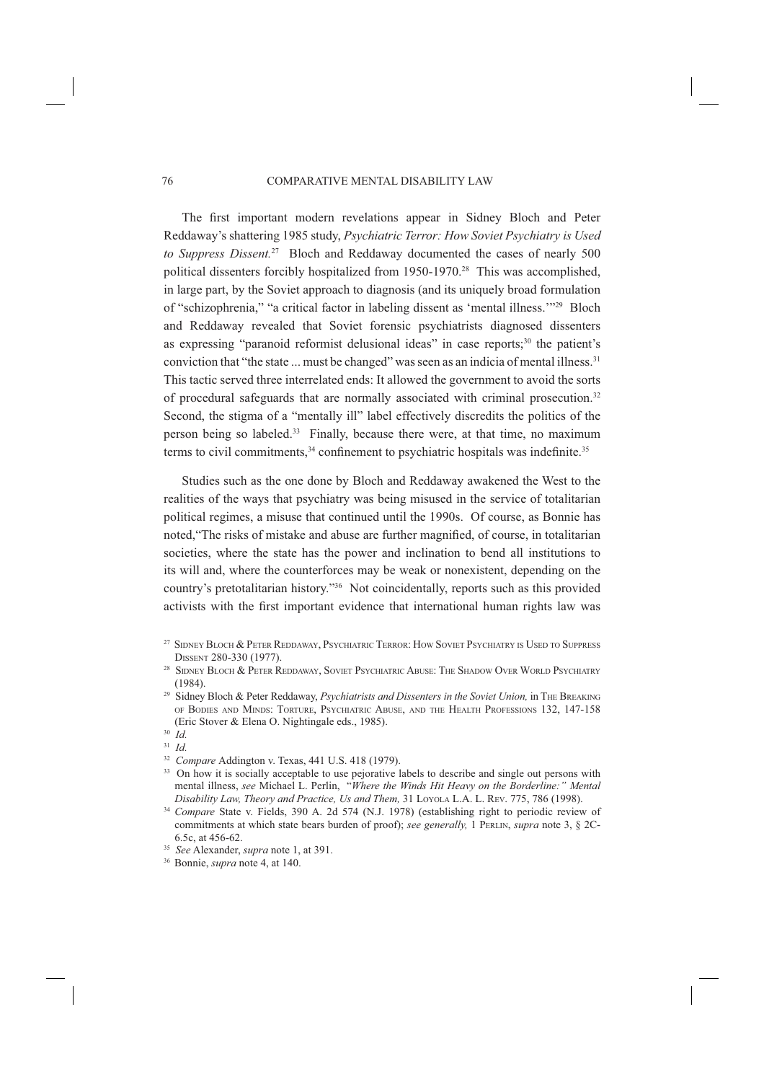The first important modern revelations appear in Sidney Bloch and Peter Reddaway's shattering 1985 study, *Psychiatric Terror: How Soviet Psychiatry is Used to Suppress Dissent.*<sup>27</sup>Bloch and Reddaway documented the cases of nearly 500 political dissenters forcibly hospitalized from 1950-1970.<sup>28</sup> This was accomplished, in large part, by the Soviet approach to diagnosis (and its uniquely broad formulation of "schizophrenia," "a critical factor in labeling dissent as 'mental illness.'"29 Bloch and Reddaway revealed that Soviet forensic psychiatrists diagnosed dissenters as expressing "paranoid reformist delusional ideas" in case reports;<sup>30</sup> the patient's conviction that "the state ... must be changed" was seen as an indicia of mental illness.<sup>31</sup> This tactic served three interrelated ends: It allowed the government to avoid the sorts of procedural safeguards that are normally associated with criminal prosecution.32 Second, the stigma of a "mentally ill" label effectively discredits the politics of the person being so labeled.<sup>33</sup> Finally, because there were, at that time, no maximum terms to civil commitments,  $34$  confinement to psychiatric hospitals was indefinite.  $35$ 

Studies such as the one done by Bloch and Reddaway awakened the West to the realities of the ways that psychiatry was being misused in the service of totalitarian political regimes, a misuse that continued until the 1990s. Of course, as Bonnie has noted,"The risks of mistake and abuse are further magnified, of course, in totalitarian societies, where the state has the power and inclination to bend all institutions to its will and, where the counterforces may be weak or nonexistent, depending on the country's pretotalitarian history."36 Not coincidentally, reports such as this provided activists with the first important evidence that international human rights law was

- <sup>33</sup> On how it is socially acceptable to use pejorative labels to describe and single out persons with mental illness, *see* Michael L. Perlin, "*Where the Winds Hit Heavy on the Borderline:" Mental Disability Law, Theory and Practice, Us and Them,* 31 LOYOLA L.A. L. REV. 775, 786 (1998).
- <sup>34</sup> *Compare* State v. Fields, 390 A. 2d 574 (N.J. 1978) (establishing right to periodic review of commitments at which state bears burden of proof); *see generally,* 1 PERLIN, *supra* note 3, § 2C-6.5c, at 456-62.

<sup>&</sup>lt;sup>27</sup> SIDNEY BLOCH & PETER REDDAWAY, PSYCHIATRIC TERROR: HOW SOVIET PSYCHIATRY IS USED TO SUPPRESS DISSENT 280-330 (1977).

<sup>&</sup>lt;sup>28</sup> SIDNEY BLOCH & PETER REDDAWAY, SOVIET PSYCHIATRIC ABUSE: THE SHADOW OVER WORLD PSYCHIATRY (1984).

<sup>&</sup>lt;sup>29</sup> Sidney Bloch & Peter Reddaway, *Psychiatrists and Dissenters in the Soviet Union*, in THE BREAKING OF BODIES AND MINDS: TORTURE, PSYCHIATRIC ABUSE, AND THE HEALTH PROFESSIONS 132, 147-158 (Eric Stover & Elena O. Nightingale eds., 1985).

<sup>30</sup> *Id.*

<sup>&</sup>lt;sup>31</sup> *Id. Compare* Addington v. Texas, 441 U.S. 418 (1979).

<sup>35</sup> *See* Alexander, *supra* note 1, at 391.

<sup>36</sup> Bonnie, *supra* note 4, at 140.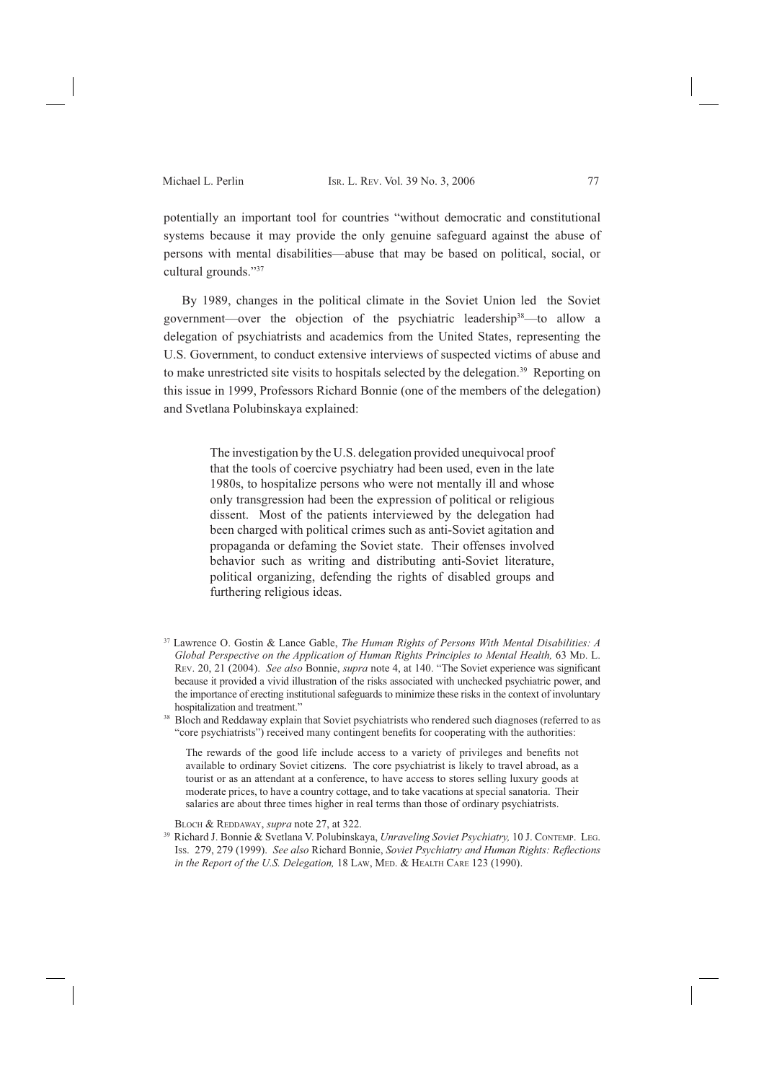potentially an important tool for countries "without democratic and constitutional systems because it may provide the only genuine safeguard against the abuse of persons with mental disabilities—abuse that may be based on political, social, or cultural grounds."37

By 1989, changes in the political climate in the Soviet Union led the Soviet government—over the objection of the psychiatric leadership38—to allow a delegation of psychiatrists and academics from the United States, representing the U.S. Government, to conduct extensive interviews of suspected victims of abuse and to make unrestricted site visits to hospitals selected by the delegation.<sup>39</sup> Reporting on this issue in 1999, Professors Richard Bonnie (one of the members of the delegation) and Svetlana Polubinskaya explained:

> The investigation by the U.S. delegation provided unequivocal proof that the tools of coercive psychiatry had been used, even in the late 1980s, to hospitalize persons who were not mentally ill and whose only transgression had been the expression of political or religious dissent. Most of the patients interviewed by the delegation had been charged with political crimes such as anti-Soviet agitation and propaganda or defaming the Soviet state. Their offenses involved behavior such as writing and distributing anti-Soviet literature, political organizing, defending the rights of disabled groups and furthering religious ideas.

- 37 Lawrence O. Gostin & Lance Gable, *The Human Rights of Persons With Mental Disabilities: A Global Perspective on the Application of Human Rights Principles to Mental Health,* 63 Mp. L. REV. 20, 21 (2004). *See also* Bonnie, *supra* note 4, at 140. "The Soviet experience was significant because it provided a vivid illustration of the risks associated with unchecked psychiatric power, and the importance of erecting institutional safeguards to minimize these risks in the context of involuntary hospitalization and treatment."
- <sup>38</sup> Bloch and Reddaway explain that Soviet psychiatrists who rendered such diagnoses (referred to as "core psychiatrists") received many contingent benefits for cooperating with the authorities:

The rewards of the good life include access to a variety of privileges and benefits not available to ordinary Soviet citizens. The core psychiatrist is likely to travel abroad, as a tourist or as an attendant at a conference, to have access to stores selling luxury goods at moderate prices, to have a country cottage, and to take vacations at special sanatoria. Their salaries are about three times higher in real terms than those of ordinary psychiatrists.

39 Richard J. Bonnie & Svetlana V. Polubinskaya, *Unraveling Soviet Psychiatry,* 10 J. CONTEMP. LEG. ISS. 279, 279 (1999). *See also* Richard Bonnie, *Soviet Psychiatry and Human Rights: Reflections in the Report of the U.S. Delegation,* 18 LAW, MED. & HEALTH CARE 123 (1990).

BLOCH & REDDAWAY, *supra* note 27, at 322.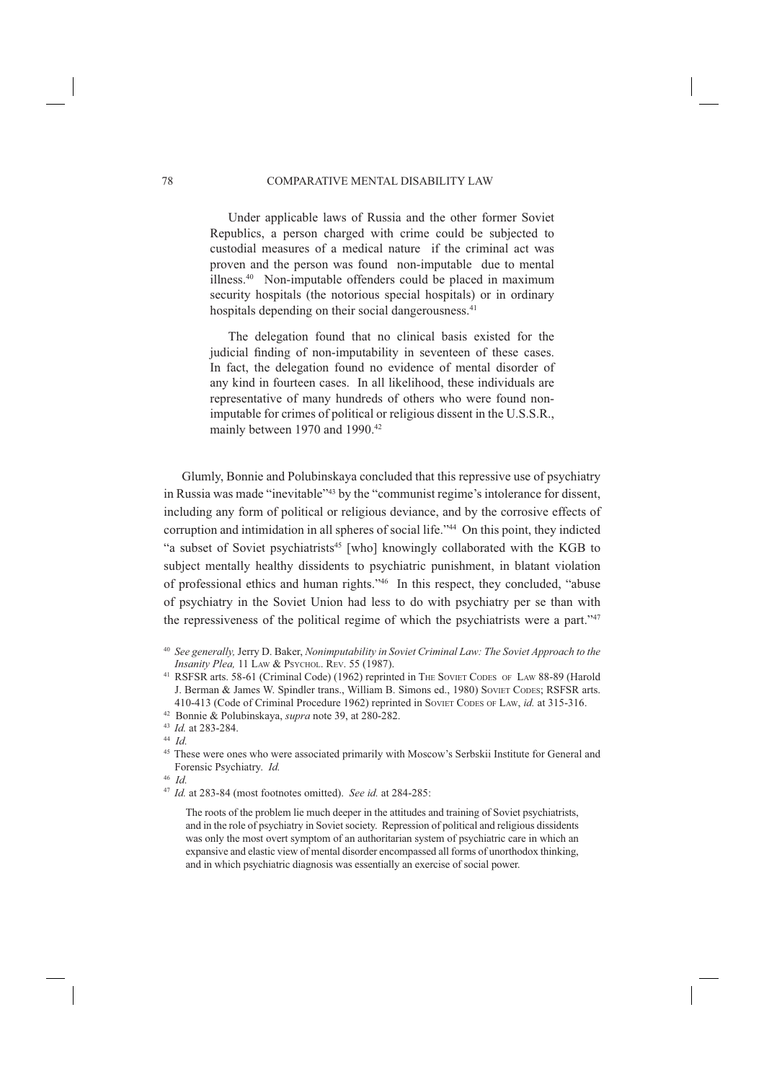Under applicable laws of Russia and the other former Soviet Republics, a person charged with crime could be subjected to custodial measures of a medical nature if the criminal act was proven and the person was found non-imputable due to mental illness.40 Non-imputable offenders could be placed in maximum security hospitals (the notorious special hospitals) or in ordinary hospitals depending on their social dangerousness.<sup>41</sup>

The delegation found that no clinical basis existed for the judicial finding of non-imputability in seventeen of these cases. In fact, the delegation found no evidence of mental disorder of any kind in fourteen cases. In all likelihood, these individuals are representative of many hundreds of others who were found nonimputable for crimes of political or religious dissent in the U.S.S.R., mainly between 1970 and 1990.<sup>42</sup>

Glumly, Bonnie and Polubinskaya concluded that this repressive use of psychiatry in Russia was made "inevitable"43 by the "communist regime's intolerance for dissent, including any form of political or religious deviance, and by the corrosive effects of corruption and intimidation in all spheres of social life."44 On this point, they indicted "a subset of Soviet psychiatrists<sup>45</sup> [who] knowingly collaborated with the KGB to subject mentally healthy dissidents to psychiatric punishment, in blatant violation of professional ethics and human rights."46 In this respect, they concluded, "abuse of psychiatry in the Soviet Union had less to do with psychiatry per se than with the repressiveness of the political regime of which the psychiatrists were a part."47

<sup>40</sup> *See generally,* Jerry D. Baker, *Nonimputability in Soviet Criminal Law: The Soviet Approach to the Insanity Plea,* 11 LAW & PSYCHOL. REV. 55 (1987).

<sup>41</sup> RSFSR arts. 58-61 (Criminal Code) (1962) reprinted in THE SOVIET CODES OF LAW 88-89 (Harold J. Berman & James W. Spindler trans., William B. Simons ed., 1980) SOVIET CODES; RSFSR arts. 410-413 (Code of Criminal Procedure 1962) reprinted in SOVIET CODES OF LAW, *id.* at 315-316.

<sup>42</sup> Bonnie & Polubinskaya, *supra* note 39, at 280-282.

<sup>43</sup>*Id.* at 283-284.

<sup>44</sup> *Id.*

<sup>&</sup>lt;sup>45</sup> These were ones who were associated primarily with Moscow's Serbskii Institute for General and Forensic Psychiatry. *Id.*

<sup>46</sup> *Id.*

<sup>47</sup>*Id.* at 283-84 (most footnotes omitted). *See id.* at 284-285:

The roots of the problem lie much deeper in the attitudes and training of Soviet psychiatrists, and in the role of psychiatry in Soviet society. Repression of political and religious dissidents was only the most overt symptom of an authoritarian system of psychiatric care in which an expansive and elastic view of mental disorder encompassed all forms of unorthodox thinking, and in which psychiatric diagnosis was essentially an exercise of social power.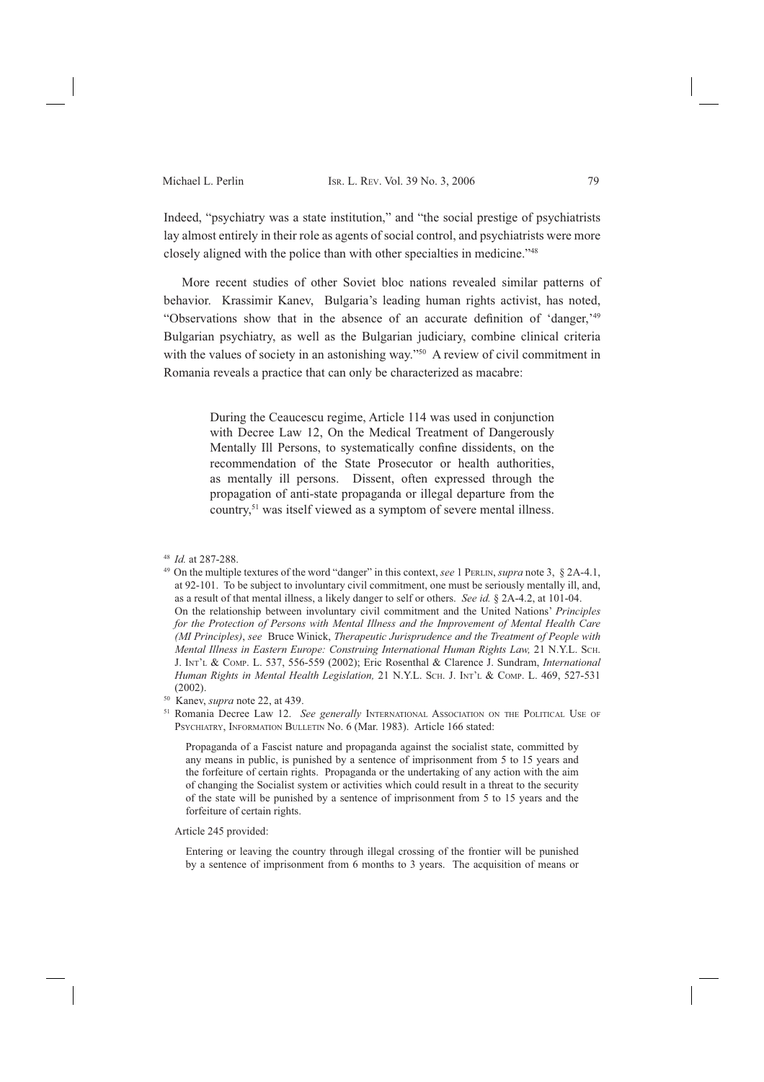Indeed, "psychiatry was a state institution," and "the social prestige of psychiatrists lay almost entirely in their role as agents of social control, and psychiatrists were more closely aligned with the police than with other specialties in medicine."48

More recent studies of other Soviet bloc nations revealed similar patterns of behavior. Krassimir Kanev, Bulgaria's leading human rights activist, has noted, "Observations show that in the absence of an accurate definition of 'danger,'<sup>49</sup> Bulgarian psychiatry, as well as the Bulgarian judiciary, combine clinical criteria with the values of society in an astonishing way."<sup>50</sup> A review of civil commitment in Romania reveals a practice that can only be characterized as macabre:

> During the Ceaucescu regime, Article 114 was used in conjunction with Decree Law 12, On the Medical Treatment of Dangerously Mentally Ill Persons, to systematically confine dissidents, on the recommendation of the State Prosecutor or health authorities, as mentally ill persons. Dissent, often expressed through the propagation of anti-state propaganda or illegal departure from the country,51 was itself viewed as a symptom of severe mental illness.

Propaganda of a Fascist nature and propaganda against the socialist state, committed by any means in public, is punished by a sentence of imprisonment from 5 to 15 years and the forfeiture of certain rights. Propaganda or the undertaking of any action with the aim of changing the Socialist system or activities which could result in a threat to the security of the state will be punished by a sentence of imprisonment from 5 to 15 years and the forfeiture of certain rights.

#### Article 245 provided:

Entering or leaving the country through illegal crossing of the frontier will be punished by a sentence of imprisonment from 6 months to 3 years. The acquisition of means or

<sup>48</sup>*Id.* at 287-288.

<sup>49</sup> On the multiple textures of the word "danger" in this context, *see* 1 PERLIN, *supra* note 3, § 2A-4.1, at 92-101. To be subject to involuntary civil commitment, one must be seriously mentally ill, and, as a result of that mental illness, a likely danger to self or others. *See id.* § 2A-4.2, at 101-04. On the relationship between involuntary civil commitment and the United Nations' *Principles for the Protection of Persons with Mental Illness and the Improvement of Mental Health Care (MI Principles)*, *see* Bruce Winick, *Therapeutic Jurisprudence and the Treatment of People with Mental Illness in Eastern Europe: Construing International Human Rights Law,* 21 N.Y.L. SCH. J. INT'L & COMP. L. 537, 556-559 (2002); Eric Rosenthal & Clarence J. Sundram, *International Human Rights in Mental Health Legislation,* 21 N.Y.L. SCH. J. INT'L & COMP. L. 469, 527-531 (2002).

<sup>50</sup> Kanev, *supra* note 22, at 439.

<sup>51</sup> Romania Decree Law 12. *See generally* INTERNATIONAL ASSOCIATION ON THE POLITICAL USE OF PSYCHIATRY, INFORMATION BULLETIN No. 6 (Mar. 1983). Article 166 stated: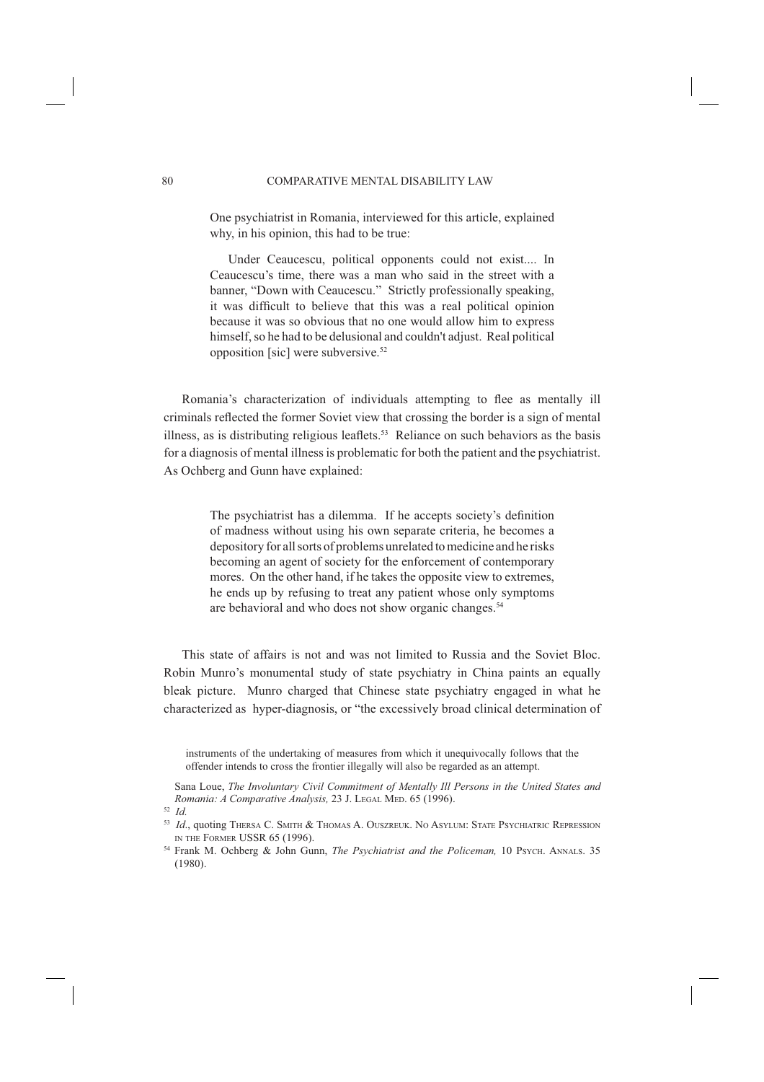One psychiatrist in Romania, interviewed for this article, explained why, in his opinion, this had to be true:

Under Ceaucescu, political opponents could not exist.... In Ceaucescu's time, there was a man who said in the street with a banner, "Down with Ceaucescu." Strictly professionally speaking, it was difficult to believe that this was a real political opinion because it was so obvious that no one would allow him to express himself, so he had to be delusional and couldn't adjust. Real political opposition [sic] were subversive. $52$ 

Romania's characterization of individuals attempting to flee as mentally ill criminals reflected the former Soviet view that crossing the border is a sign of mental illness, as is distributing religious leaflets. $53$  Reliance on such behaviors as the basis for a diagnosis of mental illness is problematic for both the patient and the psychiatrist. As Ochberg and Gunn have explained:

> The psychiatrist has a dilemma. If he accepts society's definition of madness without using his own separate criteria, he becomes a depository for all sorts of problems unrelated to medicine and he risks becoming an agent of society for the enforcement of contemporary mores. On the other hand, if he takes the opposite view to extremes, he ends up by refusing to treat any patient whose only symptoms are behavioral and who does not show organic changes.<sup>54</sup>

This state of affairs is not and was not limited to Russia and the Soviet Bloc. Robin Munro's monumental study of state psychiatry in China paints an equally bleak picture. Munro charged that Chinese state psychiatry engaged in what he characterized as hyper-diagnosis, or "the excessively broad clinical determination of

instruments of the undertaking of measures from which it unequivocally follows that the offender intends to cross the frontier illegally will also be regarded as an attempt.

Sana Loue, *The Involuntary Civil Commitment of Mentally Ill Persons in the United States and Romania: A Comparative Analysis,* 23 J. LEGAL MED. 65 (1996).

<sup>52</sup> *Id.*

<sup>&</sup>lt;sup>53</sup> Id., quoting Thersa C. Smith & Thomas A. Ouszreuk. No Asylum: State Psychiatric Repression IN THE FORMER USSR 65 (1996).

<sup>54</sup> Frank M. Ochberg & John Gunn, *The Psychiatrist and the Policeman,* 10 PSYCH. ANNALS. 35 (1980).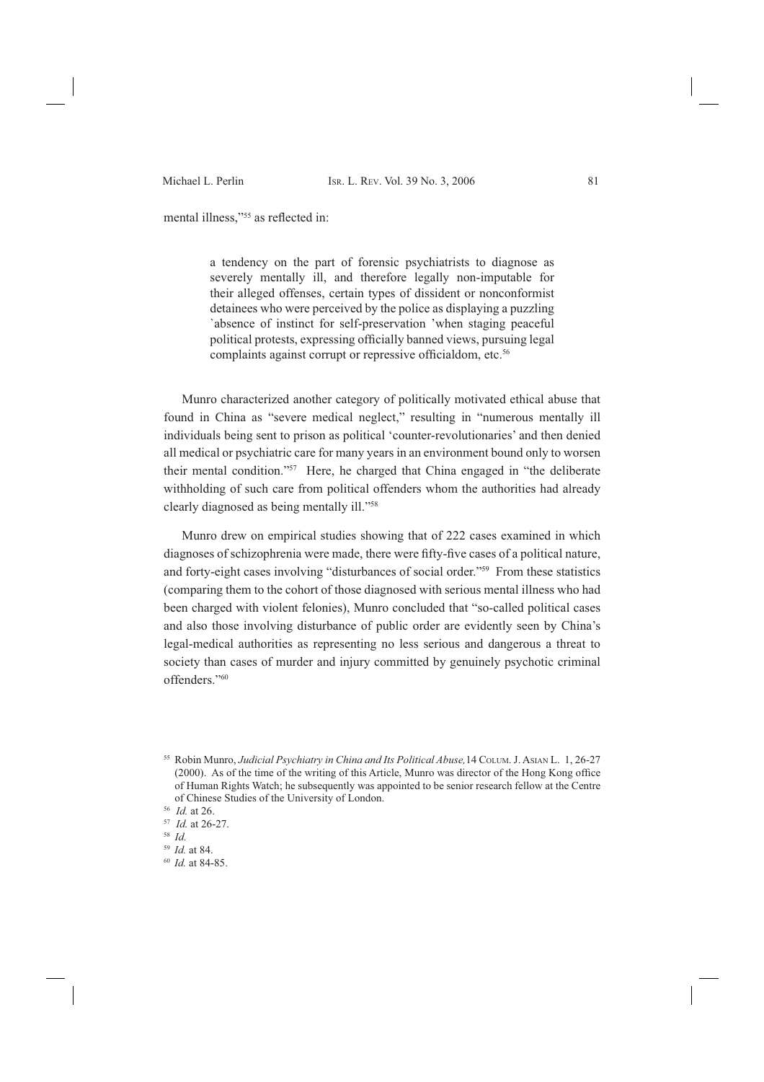mental illness,"55 as reflected in:

a tendency on the part of forensic psychiatrists to diagnose as severely mentally ill, and therefore legally non-imputable for their alleged offenses, certain types of dissident or nonconformist detainees who were perceived by the police as displaying a puzzling `absence of instinct for self-preservation 'when staging peaceful political protests, expressing officially banned views, pursuing legal complaints against corrupt or repressive officialdom, etc.<sup>56</sup>

Munro characterized another category of politically motivated ethical abuse that found in China as "severe medical neglect," resulting in "numerous mentally ill individuals being sent to prison as political 'counter-revolutionaries' and then denied all medical or psychiatric care for many years in an environment bound only to worsen their mental condition."57 Here, he charged that China engaged in "the deliberate withholding of such care from political offenders whom the authorities had already clearly diagnosed as being mentally ill."58

Munro drew on empirical studies showing that of 222 cases examined in which diagnoses of schizophrenia were made, there were fifty-five cases of a political nature, and forty-eight cases involving "disturbances of social order."59 From these statistics (comparing them to the cohort of those diagnosed with serious mental illness who had been charged with violent felonies), Munro concluded that "so-called political cases and also those involving disturbance of public order are evidently seen by China's legal-medical authorities as representing no less serious and dangerous a threat to society than cases of murder and injury committed by genuinely psychotic criminal offenders."60

<sup>55</sup> Robin Munro, *Judicial Psychiatry in China and Its Political Abuse,*14 COLUM. J. ASIAN L. 1, 26-27 (2000). As of the time of the writing of this Article, Munro was director of the Hong Kong office of Human Rights Watch; he subsequently was appointed to be senior research fellow at the Centre of Chinese Studies of the University of London.

<sup>56</sup>*Id.* at 26.

<sup>57</sup>*Id.* at 26-27.

<sup>58</sup>*Id.*

<sup>59</sup>*Id.* at 84.

<sup>60</sup> *Id.* at 84-85.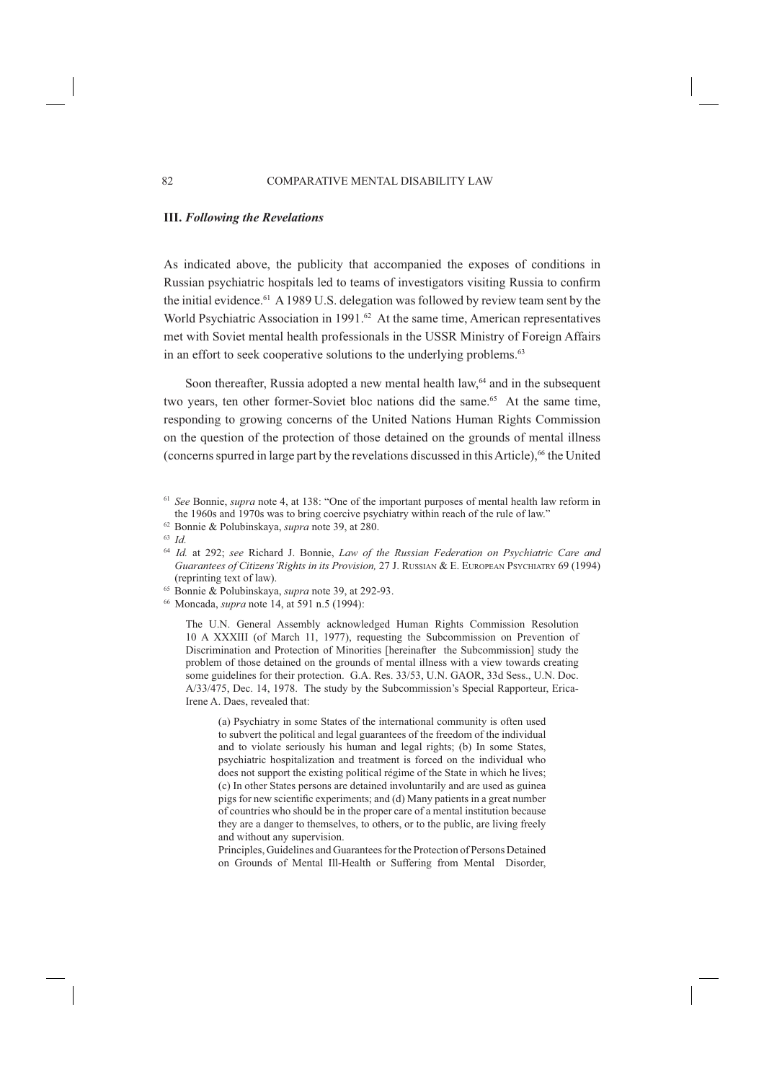# **III.** *Following the Revelations*

As indicated above, the publicity that accompanied the exposes of conditions in Russian psychiatric hospitals led to teams of investigators visiting Russia to confirm the initial evidence.<sup>61</sup> A 1989 U.S. delegation was followed by review team sent by the World Psychiatric Association in 1991.<sup>62</sup> At the same time, American representatives met with Soviet mental health professionals in the USSR Ministry of Foreign Affairs in an effort to seek cooperative solutions to the underlying problems.<sup>63</sup>

Soon thereafter, Russia adopted a new mental health  $law<sub>64</sub>$  and in the subsequent two years, ten other former-Soviet bloc nations did the same.<sup>65</sup> At the same time, responding to growing concerns of the United Nations Human Rights Commission on the question of the protection of those detained on the grounds of mental illness (concerns spurred in large part by the revelations discussed in this Article),<sup>66</sup> the United

62 Bonnie & Polubinskaya, *supra* note 39, at 280.

The U.N. General Assembly acknowledged Human Rights Commission Resolution 10 A XXXIII (of March 11, 1977), requesting the Subcommission on Prevention of Discrimination and Protection of Minorities [hereinafter the Subcommission] study the problem of those detained on the grounds of mental illness with a view towards creating some guidelines for their protection. G.A. Res. 33/53, U.N. GAOR, 33d Sess., U.N. Doc. A/33/475, Dec. 14, 1978. The study by the Subcommission's Special Rapporteur, Erica-Irene A. Daes, revealed that:

(a) Psychiatry in some States of the international community is often used to subvert the political and legal guarantees of the freedom of the individual and to violate seriously his human and legal rights; (b) In some States, psychiatric hospitalization and treatment is forced on the individual who does not support the existing political régime of the State in which he lives; (c) In other States persons are detained involuntarily and are used as guinea pigs for new scientific experiments; and (d) Many patients in a great number of countries who should be in the proper care of a mental institution because they are a danger to themselves, to others, or to the public, are living freely and without any supervision.

Principles, Guidelines and Guarantees for the Protection of Persons Detained on Grounds of Mental Ill-Health or Suffering from Mental Disorder,

<sup>61</sup>*See* Bonnie, *supra* note 4, at 138: "One of the important purposes of mental health law reform in the 1960s and 1970s was to bring coercive psychiatry within reach of the rule of law."

<sup>63</sup>*Id.*

<sup>64</sup>*Id.* at 292; *see* Richard J. Bonnie, *Law of the Russian Federation on Psychiatric Care and Guarantees of Citizens'Rights in its Provision,* 27 J. RUSSIAN & E. EUROPEAN PSYCHIATRY 69 (1994) (reprinting text of law).

<sup>65</sup> Bonnie & Polubinskaya, *supra* note 39, at 292-93.

<sup>66</sup> Moncada, *supra* note 14, at 591 n.5 (1994):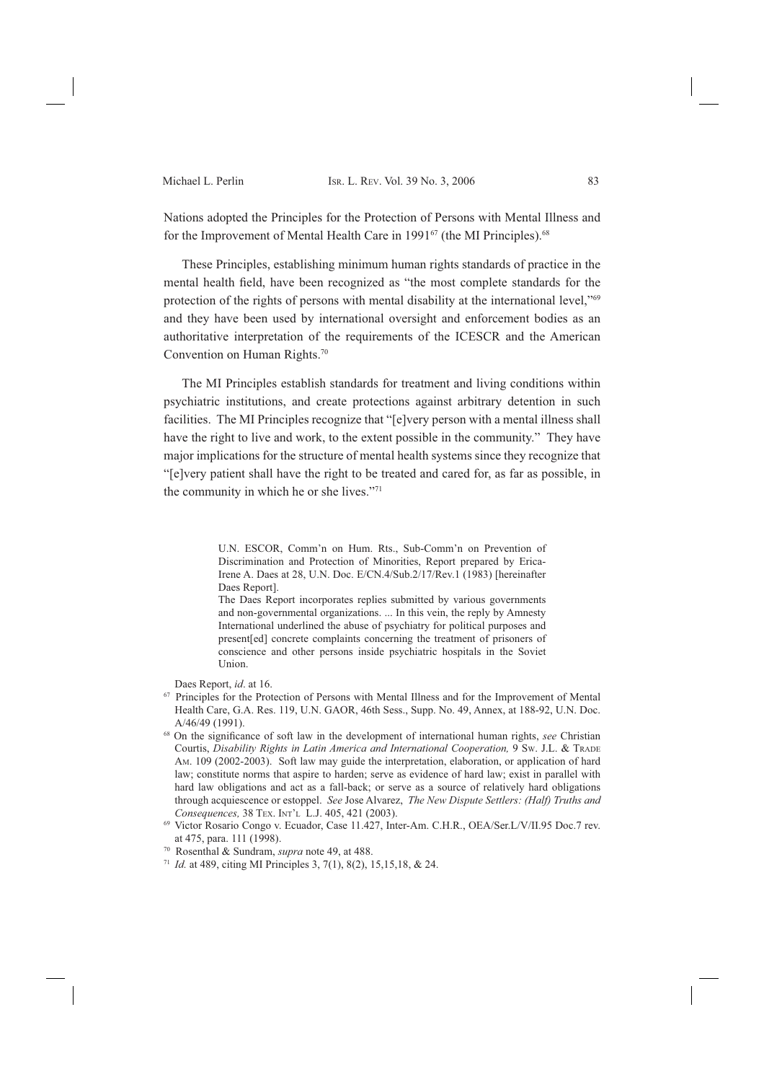# Michael L. Perlin Isr. L. REV. Vol. 39 No. 3, 2006 83

Nations adopted the Principles for the Protection of Persons with Mental Illness and for the Improvement of Mental Health Care in 1991<sup>67</sup> (the MI Principles).<sup>68</sup>

These Principles, establishing minimum human rights standards of practice in the mental health field, have been recognized as "the most complete standards for the protection of the rights of persons with mental disability at the international level,"<sup>69</sup> and they have been used by international oversight and enforcement bodies as an authoritative interpretation of the requirements of the ICESCR and the American Convention on Human Rights.<sup>70</sup>

The MI Principles establish standards for treatment and living conditions within psychiatric institutions, and create protections against arbitrary detention in such facilities. The MI Principles recognize that "[e]very person with a mental illness shall have the right to live and work, to the extent possible in the community." They have major implications for the structure of mental health systems since they recognize that "[e]very patient shall have the right to be treated and cared for, as far as possible, in the community in which he or she lives."71

> U.N. ESCOR, Comm'n on Hum. Rts., Sub-Comm'n on Prevention of Discrimination and Protection of Minorities, Report prepared by Erica-Irene A. Daes at 28, U.N. Doc. E/CN.4/Sub.2/17/Rev.1 (1983) [hereinafter Daes Report].

> The Daes Report incorporates replies submitted by various governments and non-governmental organizations. ... In this vein, the reply by Amnesty International underlined the abuse of psychiatry for political purposes and present[ed] concrete complaints concerning the treatment of prisoners of conscience and other persons inside psychiatric hospitals in the Soviet Union.

Daes Report, *id*. at 16.

- <sup>67</sup> Principles for the Protection of Persons with Mental Illness and for the Improvement of Mental Health Care, G.A. Res. 119, U.N. GAOR, 46th Sess., Supp. No. 49, Annex, at 188-92, U.N. Doc. A/46/49 (1991).
- <sup>68</sup> On the significance of soft law in the development of international human rights, see Christian Courtis, *Disability Rights in Latin America and International Cooperation,* 9 SW. J.L. & TRADE AM. 109 (2002-2003). Soft law may guide the interpretation, elaboration, or application of hard law; constitute norms that aspire to harden; serve as evidence of hard law; exist in parallel with hard law obligations and act as a fall-back; or serve as a source of relatively hard obligations through acquiescence or estoppel. *See* Jose Alvarez, *The New Dispute Settlers: (Half) Truths and Consequences,* 38 TEX. INT'L L.J. 405, 421 (2003).
- 69 Victor Rosario Congo v. Ecuador, Case 11.427, Inter-Am. C.H.R., OEA/Ser.L/V/II.95 Doc.7 rev. at 475, para. 111 (1998).
- 70 Rosenthal & Sundram, *supra* note 49, at 488.
- 71 *Id.* at 489, citing MI Principles 3, 7(1), 8(2), 15,15,18, & 24.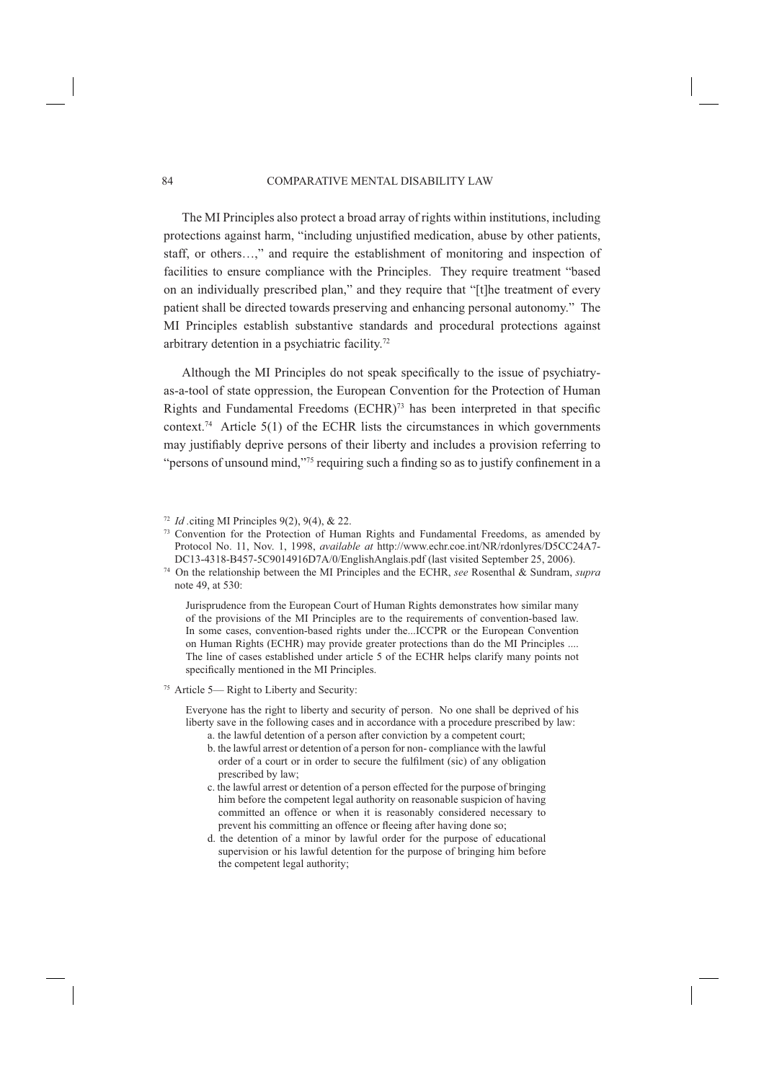The MI Principles also protect a broad array of rights within institutions, including protections against harm, "including unjustified medication, abuse by other patients, staff, or others…," and require the establishment of monitoring and inspection of facilities to ensure compliance with the Principles. They require treatment "based on an individually prescribed plan," and they require that "[t]he treatment of every patient shall be directed towards preserving and enhancing personal autonomy." The MI Principles establish substantive standards and procedural protections against arbitrary detention in a psychiatric facility.72

Although the MI Principles do not speak specifically to the issue of psychiatryas-a-tool of state oppression, the European Convention for the Protection of Human Rights and Fundamental Freedoms (ECHR)73 has been interpreted in that specific context.<sup>74</sup> Article 5(1) of the ECHR lists the circumstances in which governments may justifiably deprive persons of their liberty and includes a provision referring to "persons of unsound mind,"<sup>75</sup> requiring such a finding so as to justify confinement in a

75 Article 5— Right to Liberty and Security:

Everyone has the right to liberty and security of person. No one shall be deprived of his liberty save in the following cases and in accordance with a procedure prescribed by law: a. the lawful detention of a person after conviction by a competent court;

- b. the lawful arrest or detention of a person for non- compliance with the lawful order of a court or in order to secure the fulfilment (sic) of any obligation prescribed by law;
- c. the lawful arrest or detention of a person effected for the purpose of bringing him before the competent legal authority on reasonable suspicion of having committed an offence or when it is reasonably considered necessary to prevent his committing an offence or fleeing after having done so;
- d. the detention of a minor by lawful order for the purpose of educational supervision or his lawful detention for the purpose of bringing him before the competent legal authority;

<sup>72</sup>*Id .*citing MI Principles 9(2), 9(4), & 22.

<sup>&</sup>lt;sup>73</sup> Convention for the Protection of Human Rights and Fundamental Freedoms, as amended by Protocol No. 11, Nov. 1, 1998, *available at* http://www.echr.coe.int/NR/rdonlyres/D5CC24A7- DC13-4318-B457-5C9014916D7A/0/EnglishAnglais.pdf (last visited September 25, 2006).

<sup>74</sup> On the relationship between the MI Principles and the ECHR, *see* Rosenthal & Sundram, *supra* note 49, at 530:

Jurisprudence from the European Court of Human Rights demonstrates how similar many of the provisions of the MI Principles are to the requirements of convention-based law. In some cases, convention-based rights under the...ICCPR or the European Convention on Human Rights (ECHR) may provide greater protections than do the MI Principles .... The line of cases established under article 5 of the ECHR helps clarify many points not specifically mentioned in the MI Principles.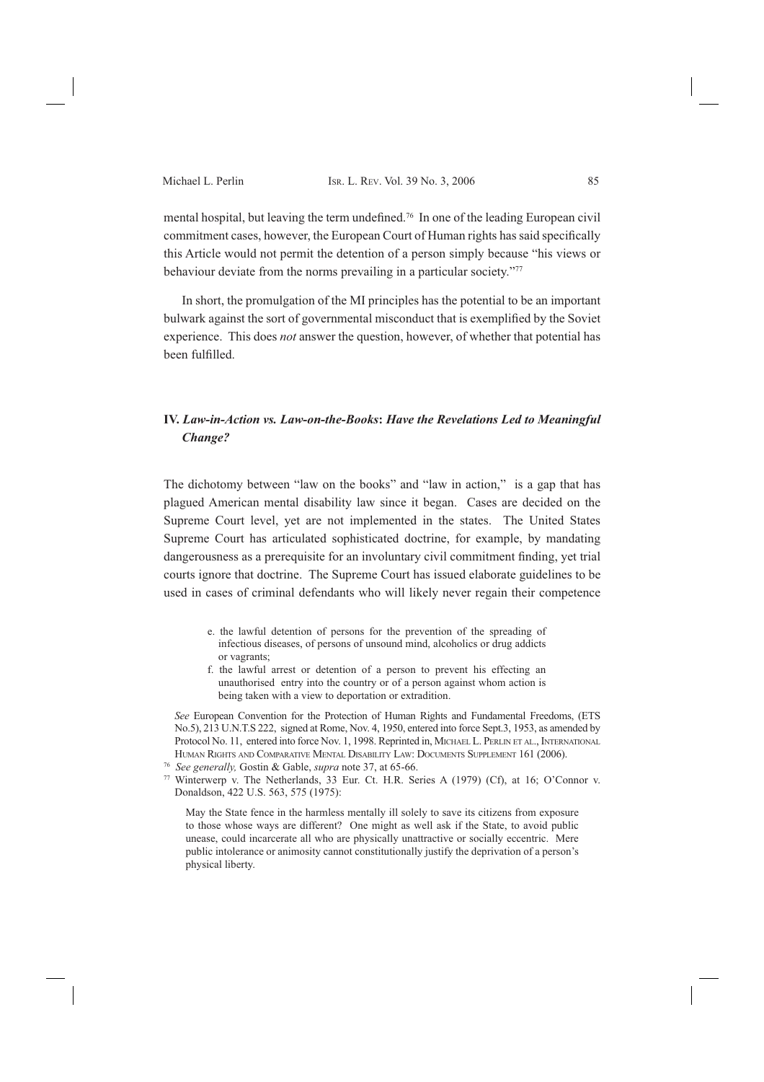mental hospital, but leaving the term undefined.76 In one of the leading European civil commitment cases, however, the European Court of Human rights has said specifically this Article would not permit the detention of a person simply because "his views or behaviour deviate from the norms prevailing in a particular society."<sup>77</sup>

In short, the promulgation of the MI principles has the potential to be an important bulwark against the sort of governmental misconduct that is exemplified by the Soviet experience. This does *not* answer the question, however, of whether that potential has been fulfilled.

# **IV.** *Law-in-Action vs. Law-on-the-Books***:** *Have the Revelations Led to Meaningful Change?*

The dichotomy between "law on the books" and "law in action," is a gap that has plagued American mental disability law since it began. Cases are decided on the Supreme Court level, yet are not implemented in the states. The United States Supreme Court has articulated sophisticated doctrine, for example, by mandating dangerousness as a prerequisite for an involuntary civil commitment finding, yet trial courts ignore that doctrine. The Supreme Court has issued elaborate guidelines to be used in cases of criminal defendants who will likely never regain their competence

- e. the lawful detention of persons for the prevention of the spreading of infectious diseases, of persons of unsound mind, alcoholics or drug addicts or vagrants;
- f. the lawful arrest or detention of a person to prevent his effecting an unauthorised entry into the country or of a person against whom action is being taken with a view to deportation or extradition.

*See* European Convention for the Protection of Human Rights and Fundamental Freedoms, (ETS No.5), 213 U.N.T.S 222, signed at Rome, Nov. 4, 1950, entered into force Sept.3, 1953, as amended by Protocol No. 11, entered into force Nov. 1, 1998. Reprinted in, MICHAEL L. PERLIN ET AL., INTERNATIONAL HUMAN RIGHTS AND COMPARATIVE MENTAL DISABILITY LAW: DOCUMENTS SUPPLEMENT 161 (2006).

<sup>76</sup> *See generally,* Gostin & Gable, *supra* note 37, at 65-66.

77 Winterwerp v. The Netherlands, 33 Eur. Ct. H.R. Series A (1979) (Cf), at 16; O'Connor v. Donaldson, 422 U.S. 563, 575 (1975):

May the State fence in the harmless mentally ill solely to save its citizens from exposure to those whose ways are different? One might as well ask if the State, to avoid public unease, could incarcerate all who are physically unattractive or socially eccentric. Mere public intolerance or animosity cannot constitutionally justify the deprivation of a person's physical liberty.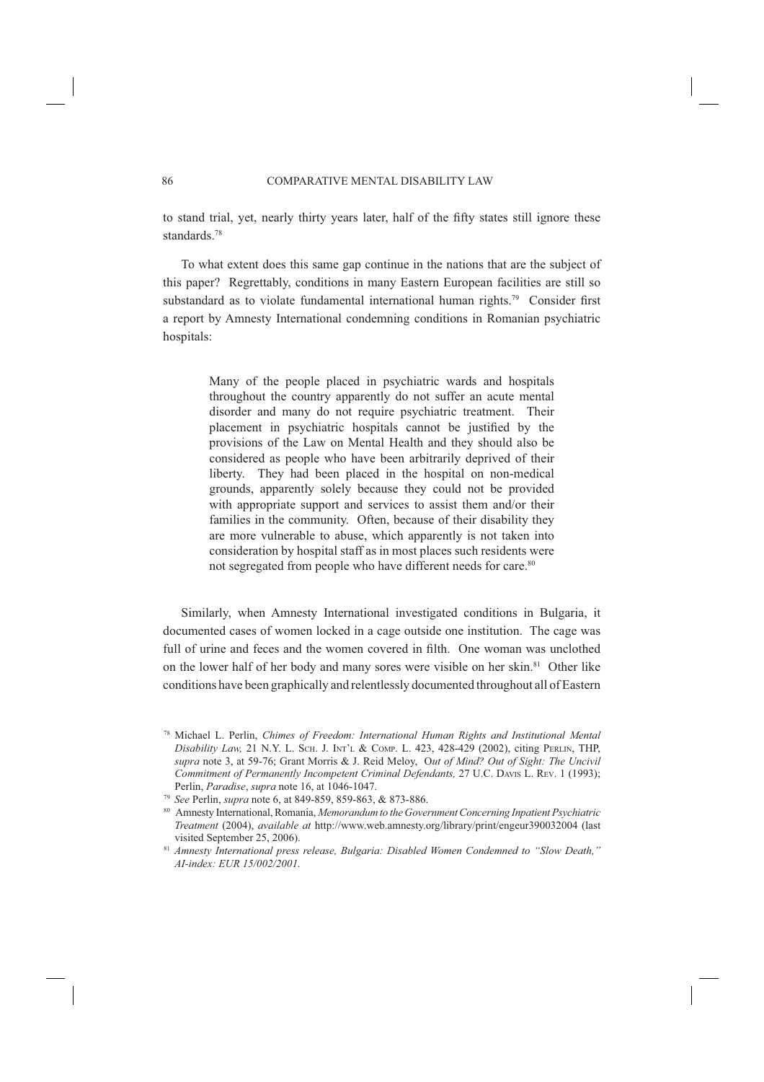to stand trial, yet, nearly thirty years later, half of the fifty states still ignore these standards<sup>78</sup>

To what extent does this same gap continue in the nations that are the subject of this paper? Regrettably, conditions in many Eastern European facilities are still so substandard as to violate fundamental international human rights.<sup>79</sup> Consider first a report by Amnesty International condemning conditions in Romanian psychiatric hospitals:

> Many of the people placed in psychiatric wards and hospitals throughout the country apparently do not suffer an acute mental disorder and many do not require psychiatric treatment. Their placement in psychiatric hospitals cannot be justified by the provisions of the Law on Mental Health and they should also be considered as people who have been arbitrarily deprived of their liberty. They had been placed in the hospital on non-medical grounds, apparently solely because they could not be provided with appropriate support and services to assist them and/or their families in the community. Often, because of their disability they are more vulnerable to abuse, which apparently is not taken into consideration by hospital staff as in most places such residents were not segregated from people who have different needs for care.<sup>80</sup>

Similarly, when Amnesty International investigated conditions in Bulgaria, it documented cases of women locked in a cage outside one institution. The cage was full of urine and feces and the women covered in filth. One woman was unclothed on the lower half of her body and many sores were visible on her skin.81 Other like conditions have been graphically and relentlessly documented throughout all of Eastern

<sup>78</sup> Michael L. Perlin, *Chimes of Freedom: International Human Rights and Institutional Mental Disability Law,* 21 N.Y. L. SCH. J. INT'L & COMP. L. 423, 428-429 (2002), citing PERLIN, THP, *supra* note 3, at 59-76; Grant Morris & J. Reid Meloy, O*ut of Mind? Out of Sight: The Uncivil Commitment of Permanently Incompetent Criminal Defendants,* 27 U.C. DAVIS L. REV. 1 (1993); Perlin, *Paradise*, *supra* note 16, at 1046-1047.

<sup>79</sup>*See* Perlin, *supra* note 6, at 849-859, 859-863, & 873-886.

<sup>80</sup> Amnesty International, Romania, *Memorandum to the Government Concerning Inpatient Psychiatric Treatment* (2004), *available at* http://www.web.amnesty.org/library/print/engeur390032004 (last

visited September 25, 2006). 81 *Amnesty International press release, Bulgaria: Disabled Women Condemned to "Slow Death," AI-index: EUR 15/002/2001.*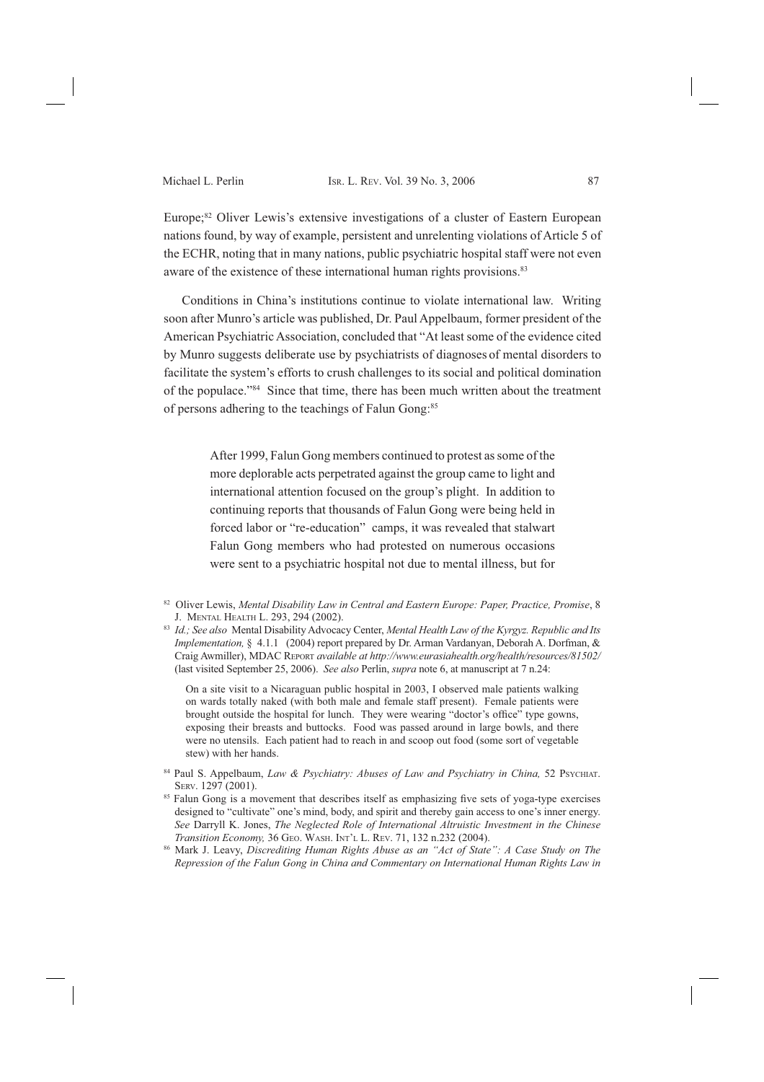Europe;<sup>82</sup> Oliver Lewis's extensive investigations of a cluster of Eastern European nations found, by way of example, persistent and unrelenting violations of Article 5 of the ECHR, noting that in many nations, public psychiatric hospital staff were not even aware of the existence of these international human rights provisions.<sup>83</sup>

Conditions in China's institutions continue to violate international law. Writing soon after Munro's article was published, Dr. Paul Appelbaum, former president of the American Psychiatric Association, concluded that "At least some of the evidence cited by Munro suggests deliberate use by psychiatrists of diagnoses of mental disorders to facilitate the system's efforts to crush challenges to its social and political domination of the populace."84 Since that time, there has been much written about the treatment of persons adhering to the teachings of Falun Gong.<sup>85</sup>

> After 1999, Falun Gong members continued to protest as some of the more deplorable acts perpetrated against the group came to light and international attention focused on the group's plight. In addition to continuing reports that thousands of Falun Gong were being held in forced labor or "re-education" camps, it was revealed that stalwart Falun Gong members who had protested on numerous occasions were sent to a psychiatric hospital not due to mental illness, but for

- 82 Oliver Lewis, *Mental Disability Law in Central and Eastern Europe: Paper, Practice, Promise*, 8 J. MENTAL HEALTH L. 293, 294 (2002).
- <sup>83</sup> *Id.; See also* Mental Disability Advocacy Center, *Mental Health Law of the Kyrgyz. Republic and Its Implementation,* § 4.1.1 (2004) report prepared by Dr. Arman Vardanyan, Deborah A. Dorfman, & Craig Awmiller), MDAC REPORT *available at http://www.eurasiahealth.org/health/resources/81502/* (last visited September 25, 2006). *See also* Perlin, *supra* note 6, at manuscript at 7 n.24:

On a site visit to a Nicaraguan public hospital in 2003, I observed male patients walking on wards totally naked (with both male and female staff present). Female patients were brought outside the hospital for lunch. They were wearing "doctor's office" type gowns, exposing their breasts and buttocks. Food was passed around in large bowls, and there were no utensils. Each patient had to reach in and scoop out food (some sort of vegetable stew) with her hands.

- 84 Paul S. Appelbaum, *Law & Psychiatry: Abuses of Law and Psychiatry in China*, 52 Psychiatr. SERV. 1297 (2001).
- <sup>85</sup> Falun Gong is a movement that describes itself as emphasizing five sets of yoga-type exercises designed to "cultivate" one's mind, body, and spirit and thereby gain access to one's inner energy. *See* Darryll K. Jones, *The Neglected Role of International Altruistic Investment in the Chinese Transition Economy,* 36 GEO. WASH. INT'L L. REV. 71, 132 n.232 (2004).
- 86 Mark J. Leavy, *Discrediting Human Rights Abuse as an "Act of State": A Case Study on The Repression of the Falun Gong in China and Commentary on International Human Rights Law in*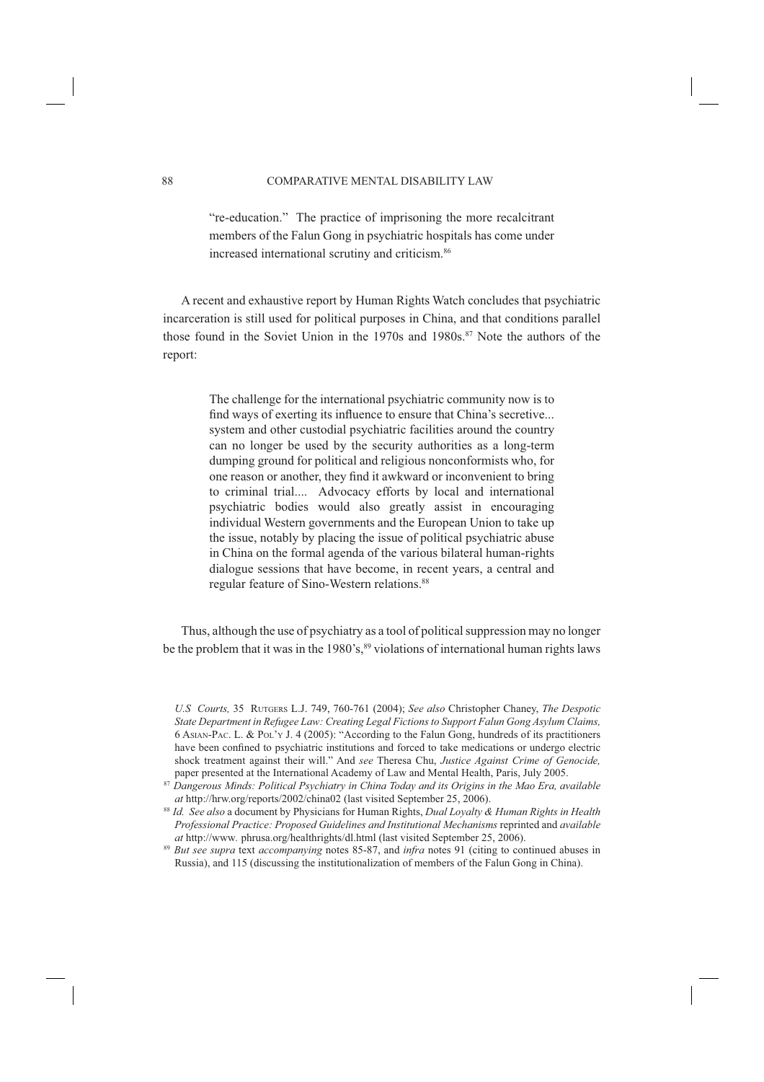"re-education." The practice of imprisoning the more recalcitrant members of the Falun Gong in psychiatric hospitals has come under increased international scrutiny and criticism.<sup>86</sup>

A recent and exhaustive report by Human Rights Watch concludes that psychiatric incarceration is still used for political purposes in China, and that conditions parallel those found in the Soviet Union in the 1970s and 1980s. $87$  Note the authors of the report:

> The challenge for the international psychiatric community now is to find ways of exerting its influence to ensure that China's secretive... system and other custodial psychiatric facilities around the country can no longer be used by the security authorities as a long-term dumping ground for political and religious nonconformists who, for one reason or another, they find it awkward or inconvenient to bring to criminal trial.... Advocacy efforts by local and international psychiatric bodies would also greatly assist in encouraging individual Western governments and the European Union to take up the issue, notably by placing the issue of political psychiatric abuse in China on the formal agenda of the various bilateral human-rights dialogue sessions that have become, in recent years, a central and regular feature of Sino-Western relations.<sup>88</sup>

Thus, although the use of psychiatry as a tool of political suppression may no longer be the problem that it was in the 1980's,<sup>89</sup> violations of international human rights laws

*U.S Courts,* 35 RUTGERS L.J. 749, 760-761 (2004); *See also* Christopher Chaney, *The Despotic State Department in Refugee Law: Creating Legal Fictions to Support Falun Gong Asylum Claims,*  6 ASIAN-PAC. L. & POL'Y J. 4 (2005): "According to the Falun Gong, hundreds of its practitioners have been confined to psychiatric institutions and forced to take medications or undergo electric shock treatment against their will." And *see* Theresa Chu, *Justice Against Crime of Genocide,*  paper presented at the International Academy of Law and Mental Health, Paris, July 2005.

<sup>87</sup>*Dangerous Minds: Political Psychiatry in China Today and its Origins in the Mao Era, available at* http://hrw.org/reports/2002/china02 (last visited September 25, 2006).

<sup>88</sup>*Id. See also* a document by Physicians for Human Rights, *Dual Loyalty & Human Rights in Health Professional Practice: Proposed Guidelines and Institutional Mechanisms* reprinted and *available at* http://www*.* phrusa.org/healthrights/dl.html (last visited September 25, 2006).

<sup>89</sup>*But see supra* text *accompanying* notes 85-87, and *infra* notes 91 (citing to continued abuses in Russia), and 115 (discussing the institutionalization of members of the Falun Gong in China).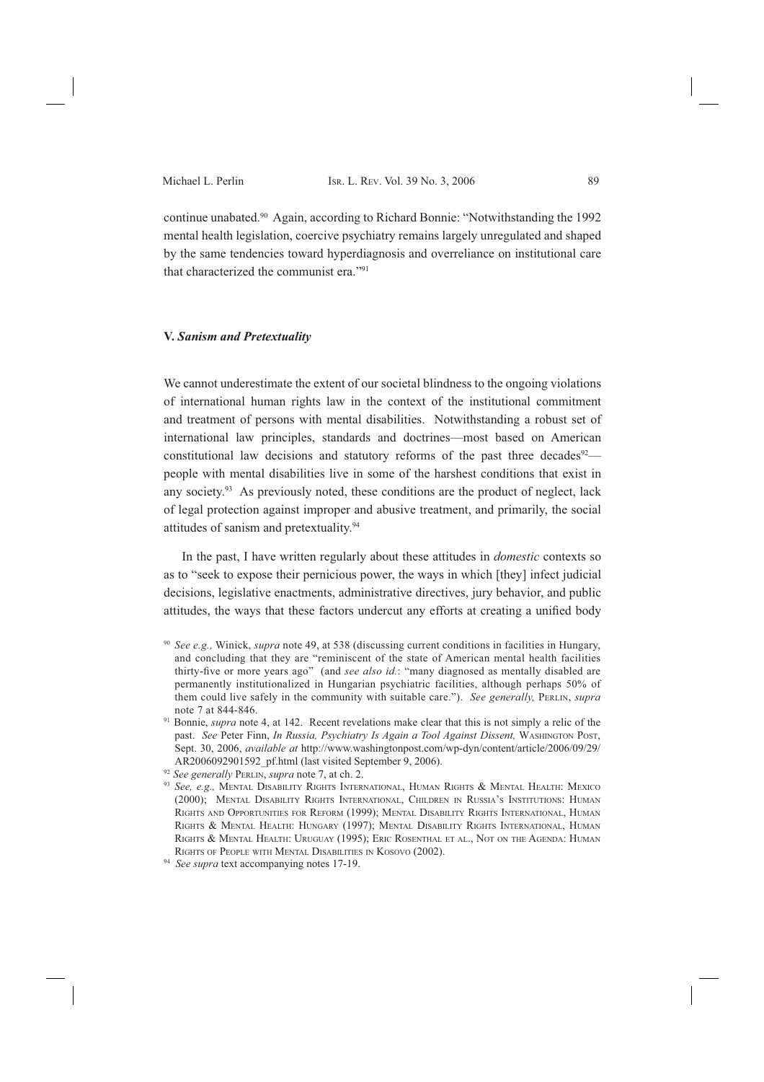continue unabated.90 Again, according to Richard Bonnie: "Notwithstanding the 1992 mental health legislation, coercive psychiatry remains largely unregulated and shaped by the same tendencies toward hyperdiagnosis and overreliance on institutional care that characterized the communist era."91

# **V.** *Sanism and Pretextuality*

We cannot underestimate the extent of our societal blindness to the ongoing violations of international human rights law in the context of the institutional commitment and treatment of persons with mental disabilities. Notwithstanding a robust set of international law principles, standards and doctrines—most based on American constitutional law decisions and statutory reforms of the past three decades $92$ people with mental disabilities live in some of the harshest conditions that exist in any society.<sup>93</sup> As previously noted, these conditions are the product of neglect, lack of legal protection against improper and abusive treatment, and primarily, the social attitudes of sanism and pretextuality.94

In the past, I have written regularly about these attitudes in *domestic* contexts so as to "seek to expose their pernicious power, the ways in which [they] infect judicial decisions, legislative enactments, administrative directives, jury behavior, and public attitudes, the ways that these factors undercut any efforts at creating a unified body

- <sup>90</sup> *See e.g.,* Winick, *supra* note 49, at 538 (discussing current conditions in facilities in Hungary, and concluding that they are "reminiscent of the state of American mental health facilities thirty-five or more years ago" (and *see also id.*: "many diagnosed as mentally disabled are permanently institutionalized in Hungarian psychiatric facilities, although perhaps 50% of them could live safely in the community with suitable care."). *See generally,* PERLIN, *supra* note 7 at 844-846.
- <sup>91</sup> Bonnie, *supra* note 4, at 142. Recent revelations make clear that this is not simply a relic of the past. *See* Peter Finn, *In Russia, Psychiatry Is Again a Tool Against Dissent,* WASHINGTON POST, Sept. 30, 2006, *available at* http://www.washingtonpost.com/wp-dyn/content/article/2006/09/29/ AR2006092901592\_pf.html (last visited September 9, 2006).
- <sup>92</sup>*See generally* PERLIN, *supra* note 7, at ch. 2.
- 93 See, e.g., MENTAL DISABILITY RIGHTS INTERNATIONAL, HUMAN RIGHTS & MENTAL HEALTH: MEXICO (2000); MENTAL DISABILITY RIGHTS INTERNATIONAL, CHILDREN IN RUSSIA'S INSTITUTIONS: HUMAN RIGHTS AND OPPORTUNITIES FOR REFORM (1999); MENTAL DISABILITY RIGHTS INTERNATIONAL, HUMAN RIGHTS & MENTAL HEALTH: HUNGARY (1997); MENTAL DISABILITY RIGHTS INTERNATIONAL, HUMAN RIGHTS & MENTAL HEALTH: URUGUAY (1995); ERIC ROSENTHAL ET AL., NOT ON THE AGENDA: HUMAN RIGHTS OF PEOPLE WITH MENTAL DISABILITIES IN KOSOVO (2002).

<sup>94</sup> *See supra* text accompanying notes 17-19.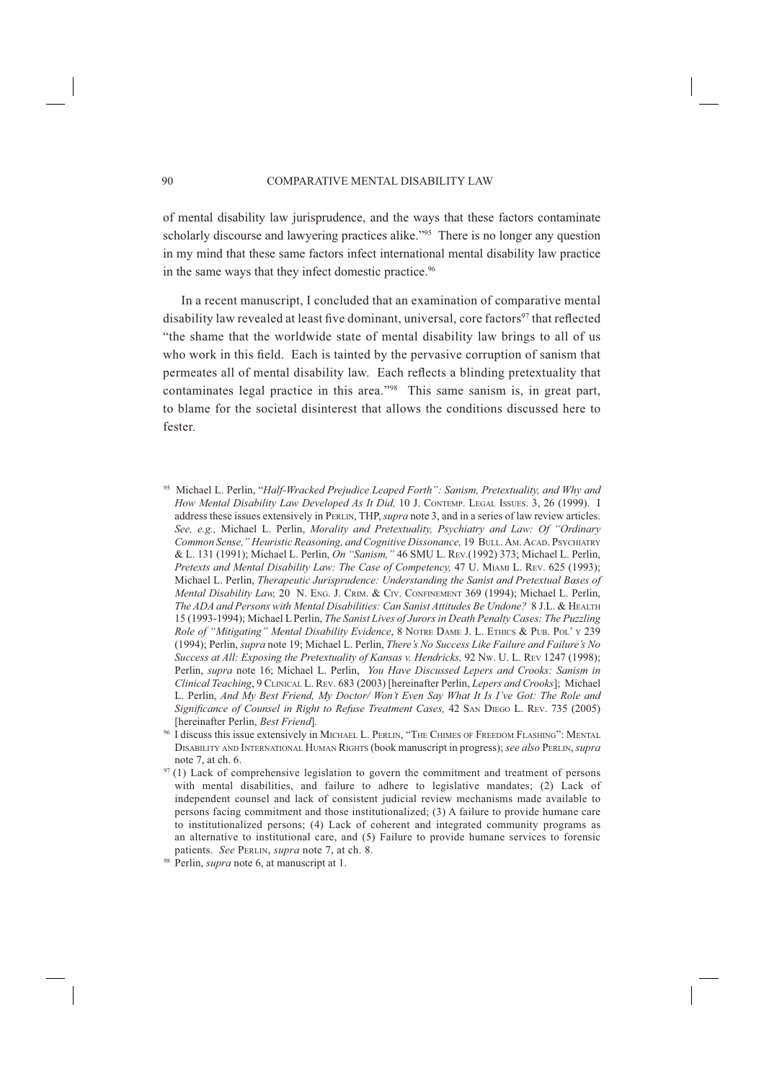of mental disability law jurisprudence, and the ways that these factors contaminate scholarly discourse and lawyering practices alike."<sup>95</sup> There is no longer any question in my mind that these same factors infect international mental disability law practice in the same ways that they infect domestic practice.<sup>96</sup>

In a recent manuscript, I concluded that an examination of comparative mental disability law revealed at least five dominant, universal, core factors<sup>97</sup> that reflected "the shame that the worldwide state of mental disability law brings to all of us who work in this field. Each is tainted by the pervasive corruption of sanism that permeates all of mental disability law. Each reflects a blinding pretextuality that contaminates legal practice in this area."98 This same sanism is, in great part, to blame for the societal disinterest that allows the conditions discussed here to fester.

<sup>95</sup> Michael L. Perlin, "*Half-Wracked Prejudice Leaped Forth": Sanism, Pretextuality, and Why and How Mental Disability Law Developed As It Did,* 10 J. CONTEMP. LEGAL ISSUES. 3, 26 (1999). I address these issues extensively in PERLIN, THP, *supra* note 3, and in a series of law review articles. *See, e.g.,* Michael L. Perlin, *Morality and Pretextuality, Psychiatry and Law: Of "Ordinary Common Sense," Heuristic Reasoning, and Cognitive Dissonance,* 19 BULL. AM. ACAD. PSYCHIATRY & L. 131 (1991); Michael L. Perlin, *On "Sanism,"* 46 SMU L. REV.(1992) 373; Michael L. Perlin, *Pretexts and Mental Disability Law: The Case of Competency,* 47 U. MIAMI L. REV. 625 (1993); Michael L. Perlin, *Therapeutic Jurisprudence: Understanding the Sanist and Pretextual Bases of Mental Disability Law,* 20 N. ENG. J. CRIM. & CIV. CONFINEMENT 369 (1994); Michael L. Perlin, *The ADA and Persons with Mental Disabilities: Can Sanist Attitudes Be Undone?* 8 J.L. & HEALTH 15 (1993-1994); Michael L Perlin, *The Sanist Lives of Jurors in Death Penalty Cases: The Puzzling Role of "Mitigating" Mental Disability Evidence*, 8 NOTRE DAME J. L. ETHICS & PUB. POL' Y 239 (1994); Perlin, *supra* note 19; Michael L. Perlin, *There's No Success Like Failure and Failure's No*  Success at All: Exposing the Pretextuality of Kansas v. Hendricks, 92 Nw. U. L. REV 1247 (1998); Perlin, *supra* note 16; Michael L. Perlin, *You Have Discussed Lepers and Crooks: Sanism in Clinical Teaching*, 9 CLINICAL L. REV. 683 (2003) [hereinafter Perlin, *Lepers and Crooks*]; Michael L. Perlin, *And My Best Friend, My Doctor/ Won't Even Say What It Is I've Got: The Role and Significance of Counsel in Right to Refuse Treatment Cases,* 42 SAN DIEGO L. REV. 735 (2005) [hereinafter Perlin, *Best Friend*]*.*

<sup>96</sup> I discuss this issue extensively in MICHAEL L. PERLIN, "THE CHIMES OF FREEDOM FLASHING": MENTAL DISABILITY AND INTERNATIONAL HUMAN RIGHTS (book manuscript in progress); *see also* PERLIN, *supra*  note 7, at ch. 6.

<sup>97 (1)</sup> Lack of comprehensive legislation to govern the commitment and treatment of persons with mental disabilities, and failure to adhere to legislative mandates; (2) Lack of independent counsel and lack of consistent judicial review mechanisms made available to persons facing commitment and those institutionalized; (3) A failure to provide humane care to institutionalized persons; (4) Lack of coherent and integrated community programs as an alternative to institutional care, and (5) Failure to provide humane services to forensic patients. *See* PERLIN, *supra* note 7, at ch. 8. 98 Perlin, *supra* note 6, at manuscript at 1.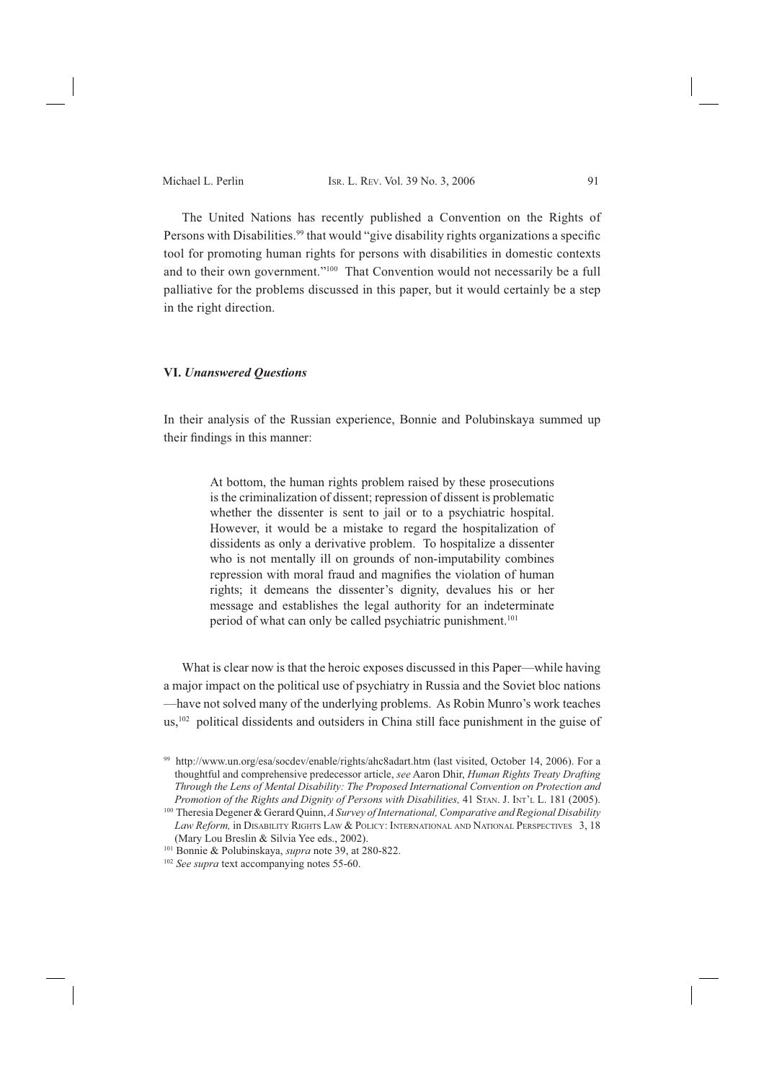The United Nations has recently published a Convention on the Rights of Persons with Disabilities.<sup>99</sup> that would "give disability rights organizations a specific tool for promoting human rights for persons with disabilities in domestic contexts and to their own government."<sup>100</sup> That Convention would not necessarily be a full palliative for the problems discussed in this paper, but it would certainly be a step in the right direction.

# **VI.** *Unanswered Questions*

In their analysis of the Russian experience, Bonnie and Polubinskaya summed up their findings in this manner:

> At bottom, the human rights problem raised by these prosecutions is the criminalization of dissent; repression of dissent is problematic whether the dissenter is sent to jail or to a psychiatric hospital. However, it would be a mistake to regard the hospitalization of dissidents as only a derivative problem. To hospitalize a dissenter who is not mentally ill on grounds of non-imputability combines repression with moral fraud and magnifies the violation of human rights; it demeans the dissenter's dignity, devalues his or her message and establishes the legal authority for an indeterminate period of what can only be called psychiatric punishment.<sup>101</sup>

What is clear now is that the heroic exposes discussed in this Paper—while having a major impact on the political use of psychiatry in Russia and the Soviet bloc nations —have not solved many of the underlying problems. As Robin Munro's work teaches us,<sup>102</sup> political dissidents and outsiders in China still face punishment in the guise of

<sup>99</sup> http://www.un.org/esa/socdev/enable/rights/ahc8adart.htm (last visited, October 14, 2006). For a thoughtful and comprehensive predecessor article, *see* Aaron Dhir, *Human Rights Treaty Drafting Through the Lens of Mental Disability: The Proposed International Convention on Protection and Promotion of the Rights and Dignity of Persons with Disabilities,* 41 STAN. J. INT'L L. 181 (2005).

<sup>&</sup>lt;sup>100</sup> Theresia Degener & Gerard Quinn, *A Survey of International, Comparative and Regional Disability Law Reform,* in DISABILITY RIGHTS LAW & POLICY: INTERNATIONAL AND NATIONAL PERSPECTIVES 3, 18

<sup>(</sup>Mary Lou Breslin & Silvia Yee eds., 2002).<br><sup>101</sup> Bonnie & Polubinskaya, *supra* note 39, at 280-822.

<sup>&</sup>lt;sup>102</sup> See supra text accompanying notes 55-60.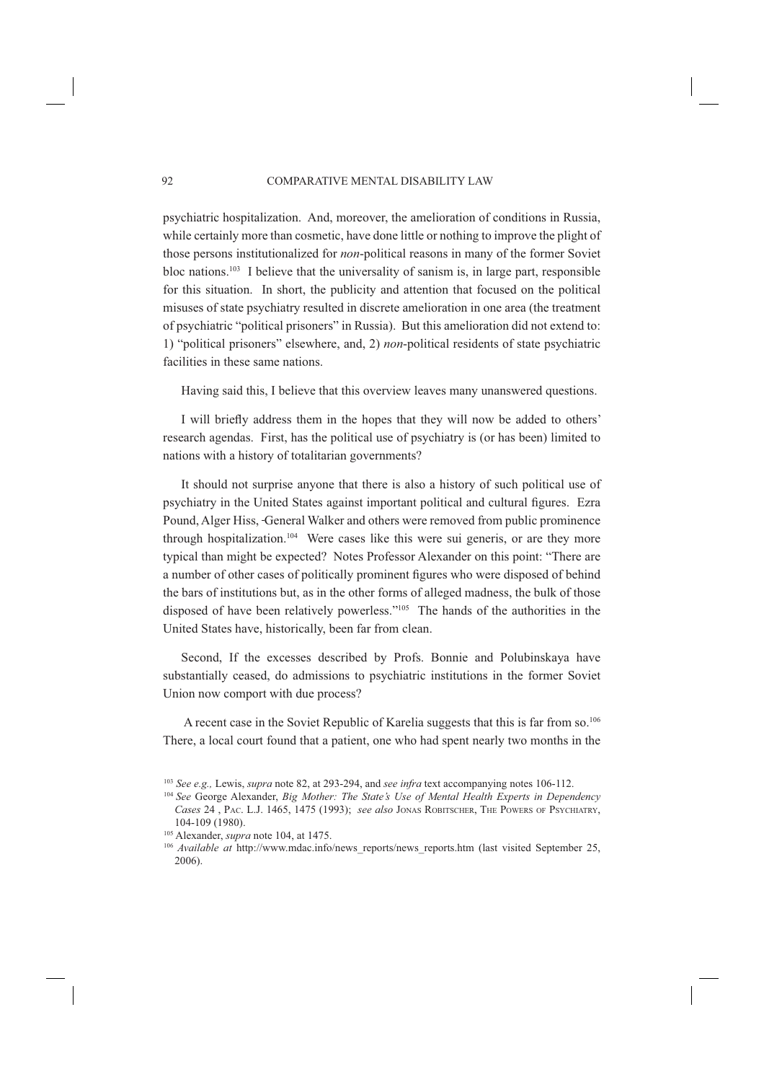psychiatric hospitalization. And, moreover, the amelioration of conditions in Russia, while certainly more than cosmetic, have done little or nothing to improve the plight of those persons institutionalized for *non*-political reasons in many of the former Soviet bloc nations.<sup>103</sup> I believe that the universality of sanism is, in large part, responsible for this situation. In short, the publicity and attention that focused on the political misuses of state psychiatry resulted in discrete amelioration in one area (the treatment of psychiatric "political prisoners" in Russia). But this amelioration did not extend to: 1) "political prisoners" elsewhere, and, 2) *non*-political residents of state psychiatric facilities in these same nations.

Having said this, I believe that this overview leaves many unanswered questions.

I will briefly address them in the hopes that they will now be added to others' research agendas. First, has the political use of psychiatry is (or has been) limited to nations with a history of totalitarian governments?

It should not surprise anyone that there is also a history of such political use of psychiatry in the United States against important political and cultural figures. Ezra Pound, Alger Hiss, General Walker and others were removed from public prominence through hospitalization.<sup>104</sup> Were cases like this were sui generis, or are they more typical than might be expected? Notes Professor Alexander on this point: "There are a number of other cases of politically prominent figures who were disposed of behind the bars of institutions but, as in the other forms of alleged madness, the bulk of those disposed of have been relatively powerless."105 The hands of the authorities in the United States have, historically, been far from clean.

Second, If the excesses described by Profs. Bonnie and Polubinskaya have substantially ceased, do admissions to psychiatric institutions in the former Soviet Union now comport with due process?

 A recent case in the Soviet Republic of Karelia suggests that this is far from so.106 There, a local court found that a patient, one who had spent nearly two months in the

<sup>103</sup> *See e.g.,* Lewis, *supra* note 82, at 293-294, and *see infra* text accompanying notes 106-112.

<sup>104</sup> *See* George Alexander, *Big Mother: The State's Use of Mental Health Experts in Dependency Cases* 24 , PAC. L.J. 1465, 1475 (1993); *see also* JONAS ROBITSCHER, THE POWERS OF PSYCHIATRY, 104-109 (1980).

<sup>105</sup> Alexander, *supra* note 104, at 1475.

<sup>&</sup>lt;sup>106</sup> Available at http://www.mdac.info/news reports/news reports.htm (last visited September 25, 2006).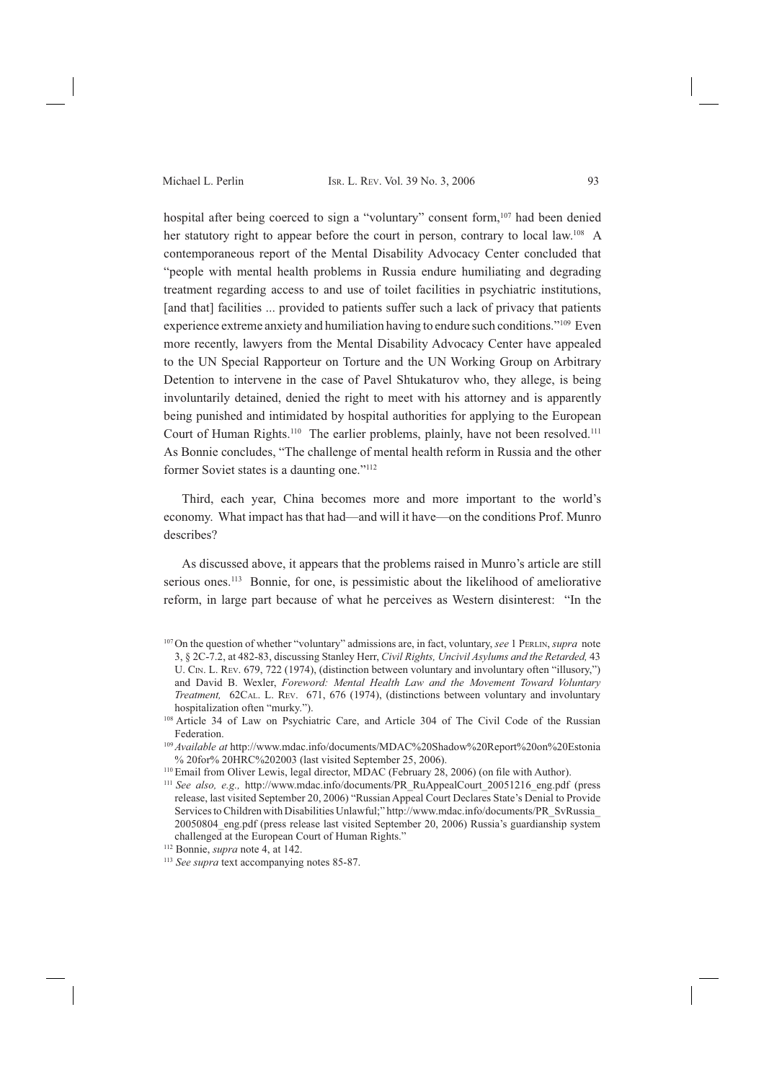# Michael L. Perlin Isr. L. REV. Vol. 39 No. 3, 2006 93

hospital after being coerced to sign a "voluntary" consent form,<sup>107</sup> had been denied her statutory right to appear before the court in person, contrary to local law.<sup>108</sup> A contemporaneous report of the Mental Disability Advocacy Center concluded that "people with mental health problems in Russia endure humiliating and degrading treatment regarding access to and use of toilet facilities in psychiatric institutions, [and that] facilities ... provided to patients suffer such a lack of privacy that patients experience extreme anxiety and humiliation having to endure such conditions."109 Even more recently, lawyers from the Mental Disability Advocacy Center have appealed to the UN Special Rapporteur on Torture and the UN Working Group on Arbitrary Detention to intervene in the case of Pavel Shtukaturov who, they allege, is being involuntarily detained, denied the right to meet with his attorney and is apparently being punished and intimidated by hospital authorities for applying to the European Court of Human Rights.<sup>110</sup> The earlier problems, plainly, have not been resolved.<sup>111</sup> As Bonnie concludes, "The challenge of mental health reform in Russia and the other former Soviet states is a daunting one."112

Third, each year, China becomes more and more important to the world's economy. What impact has that had—and will it have—on the conditions Prof. Munro describes?

As discussed above, it appears that the problems raised in Munro's article are still serious ones.<sup>113</sup> Bonnie, for one, is pessimistic about the likelihood of ameliorative reform, in large part because of what he perceives as Western disinterest: "In the

<sup>107</sup> On the question of whether "voluntary" admissions are, in fact, voluntary, *see* 1 PERLIN, *supra* note 3, § 2C-7.2, at 482-83, discussing Stanley Herr, *Civil Rights, Uncivil Asylums and the Retarded,* 43 U. C<sub>IN.</sub> L. R<sub>EV</sub>. 679, 722 (1974), (distinction between voluntary and involuntary often "illusory,") and David B. Wexler, *Foreword: Mental Health Law and the Movement Toward Voluntary Treatment,* 62CAL. L. REV. 671, 676 (1974), (distinctions between voluntary and involuntary hospitalization often "murky.").

<sup>108</sup> Article 34 of Law on Psychiatric Care, and Article 304 of The Civil Code of the Russian

Federation. 109 *Available at* http://www.mdac.info/documents/MDAC%20Shadow%20Report%20on%20Estonia % 20for% 20HRC%202003 (last visited September 25, 2006).

<sup>110</sup> Email from Oliver Lewis, legal director, MDAC (February 28, 2006) (on file with Author).

<sup>111</sup>*See also, e.g.,* http://www.mdac.info/documents/PR\_RuAppealCourt\_20051216\_eng.pdf (press release, last visited September 20, 2006) "Russian Appeal Court Declares State's Denial to Provide Services to Children with Disabilities Unlawful;" http://www.mdac.info/documents/PR\_SvRussia\_ 20050804\_eng.pdf (press release last visited September 20, 2006) Russia's guardianship system challenged at the European Court of Human Rights."

<sup>112</sup> Bonnie, *supra* note 4, at 142.

<sup>113</sup> *See supra* text accompanying notes 85-87.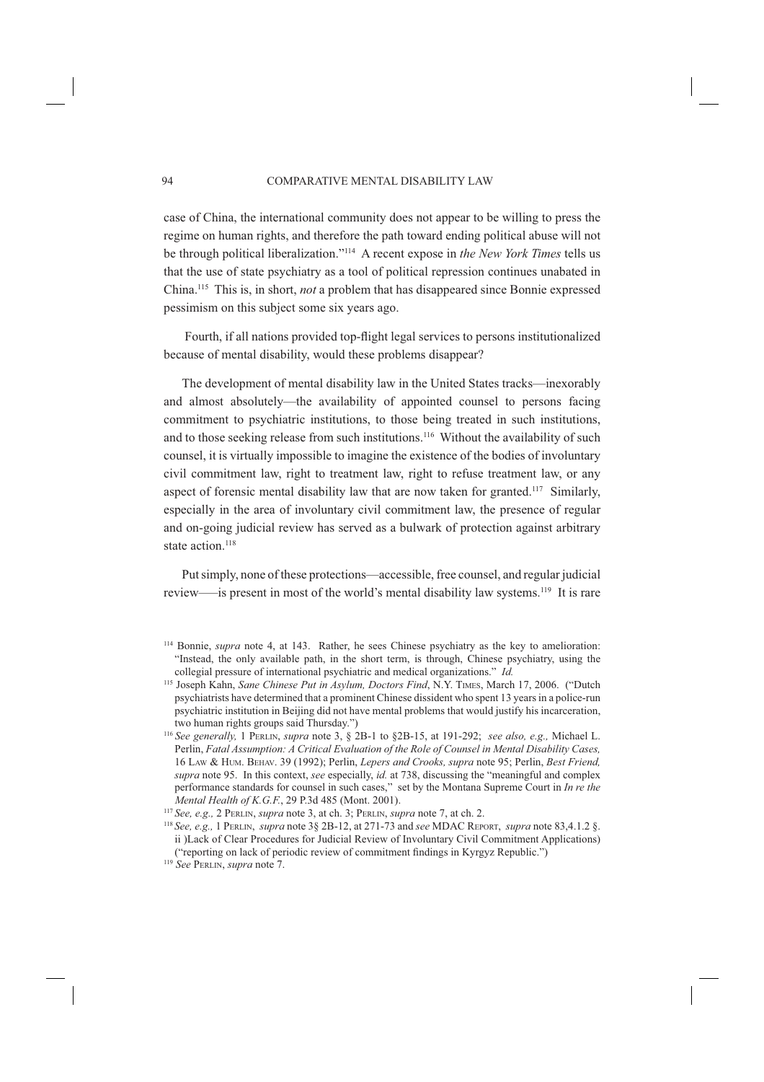case of China, the international community does not appear to be willing to press the regime on human rights, and therefore the path toward ending political abuse will not be through political liberalization."114 A recent expose in *the New York Times* tells us that the use of state psychiatry as a tool of political repression continues unabated in China.115 This is, in short, *not* a problem that has disappeared since Bonnie expressed pessimism on this subject some six years ago.

 Fourth, if all nations provided top-flight legal services to persons institutionalized because of mental disability, would these problems disappear?

The development of mental disability law in the United States tracks—inexorably and almost absolutely—the availability of appointed counsel to persons facing commitment to psychiatric institutions, to those being treated in such institutions, and to those seeking release from such institutions.<sup>116</sup> Without the availability of such counsel, it is virtually impossible to imagine the existence of the bodies of involuntary civil commitment law, right to treatment law, right to refuse treatment law, or any aspect of forensic mental disability law that are now taken for granted.117 Similarly, especially in the area of involuntary civil commitment law, the presence of regular and on-going judicial review has served as a bulwark of protection against arbitrary state action.<sup>118</sup>

Put simply, none of these protections—accessible, free counsel, and regular judicial review–—is present in most of the world's mental disability law systems.119 It is rare

<sup>114</sup> Bonnie, *supra* note 4, at 143. Rather, he sees Chinese psychiatry as the key to amelioration: "Instead, the only available path, in the short term, is through, Chinese psychiatry, using the collegial pressure of international psychiatric and medical organizations." *Id.*

<sup>115</sup> Joseph Kahn, *Sane Chinese Put in Asylum, Doctors Find*, N.Y. TIMES, March 17, 2006. ("Dutch psychiatrists have determined that a prominent Chinese dissident who spent 13 years in a police-run psychiatric institution in Beijing did not have mental problems that would justify his incarceration, two human rights groups said Thursday.")

<sup>116</sup>*See generally,* 1 PERLIN, *supra* note 3, § 2B-1 to §2B-15, at 191-292; *see also, e.g.,* Michael L. Perlin, *Fatal Assumption: A Critical Evaluation of the Role of Counsel in Mental Disability Cases,* 16 LAW & HUM. BEHAV. 39 (1992); Perlin, *Lepers and Crooks, supra* note 95; Perlin, *Best Friend, supra* note 95. In this context, *see* especially, *id.* at 738, discussing the "meaningful and complex performance standards for counsel in such cases," set by the Montana Supreme Court in *In re the Mental Health of K.G.F.*, 29 P.3d 485 (Mont. 2001).

<sup>117</sup>*See, e.g.,* 2 PERLIN, *supra* note 3, at ch. 3; PERLIN, *supra* note 7, at ch. 2.

<sup>118</sup>*See, e.g.,* 1 PERLIN, *supra* note 3§ 2B-12, at 271-73 and *see* MDAC REPORT, *supra* note 83,4.1.2 §. ii )Lack of Clear Procedures for Judicial Review of Involuntary Civil Commitment Applications) ("reporting on lack of periodic review of commitment findings in Kyrgyz Republic.")

<sup>119</sup> *See* PERLIN, *supra* note 7.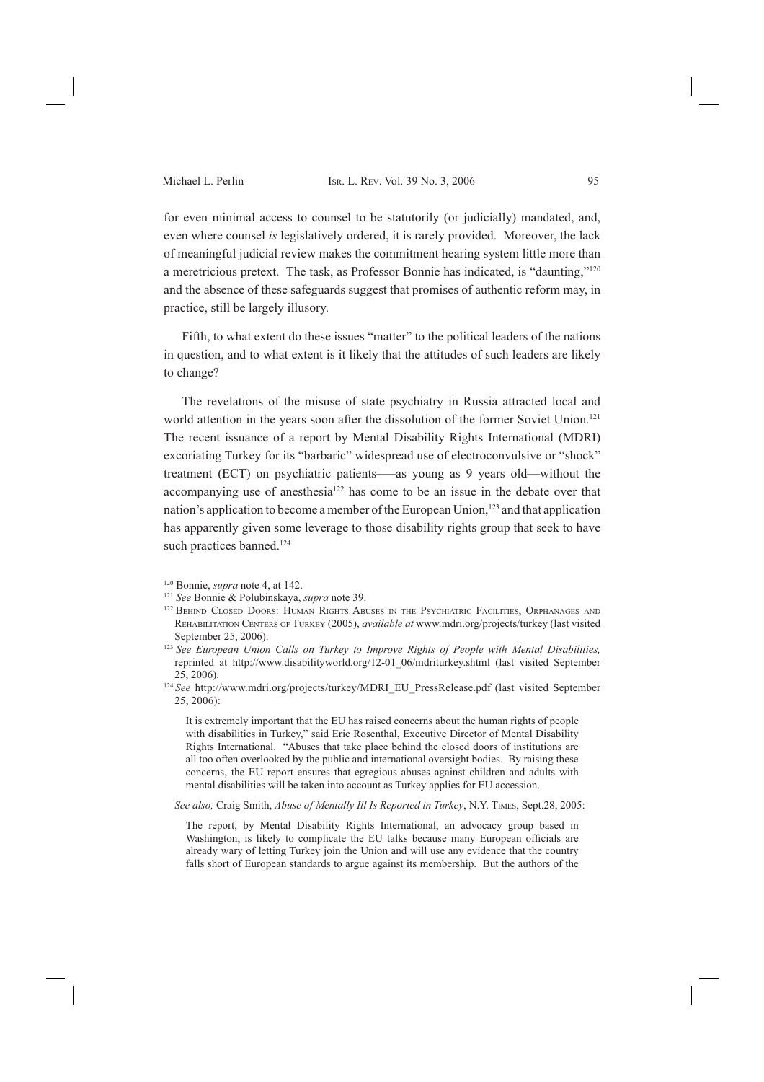# Michael L. Perlin Isr. L. REV. Vol. 39 No. 3, 2006 95

for even minimal access to counsel to be statutorily (or judicially) mandated, and, even where counsel *is* legislatively ordered, it is rarely provided. Moreover, the lack of meaningful judicial review makes the commitment hearing system little more than a meretricious pretext. The task, as Professor Bonnie has indicated, is "daunting,"120 and the absence of these safeguards suggest that promises of authentic reform may, in practice, still be largely illusory.

Fifth, to what extent do these issues "matter" to the political leaders of the nations in question, and to what extent is it likely that the attitudes of such leaders are likely to change?

The revelations of the misuse of state psychiatry in Russia attracted local and world attention in the years soon after the dissolution of the former Soviet Union.<sup>121</sup> The recent issuance of a report by Mental Disability Rights International (MDRI) excoriating Turkey for its "barbaric" widespread use of electroconvulsive or "shock" treatment (ECT) on psychiatric patients–—as young as 9 years old—without the accompanying use of anesthesia<sup>122</sup> has come to be an issue in the debate over that nation's application to become a member of the European Union,<sup>123</sup> and that application has apparently given some leverage to those disability rights group that seek to have such practices banned.<sup>124</sup>

- <sup>121</sup> *See* Bonnie & Polubinskaya, *supra* note 39.
- <sup>122</sup> BEHIND CLOSED DOORS: HUMAN RIGHTS ABUSES IN THE PSYCHIATRIC FACILITIES, ORPHANAGES AND REHABILITATION CENTERS OF TURKEY (2005), *available at* www.mdri.org/projects/turkey (last visited September 25, 2006).
- <sup>123</sup>*See European Union Calls on Turkey to Improve Rights of People with Mental Disabilities,*  reprinted at http://www.disabilityworld.org/12-01\_06/mdriturkey.shtml (last visited September 25, 2006).

It is extremely important that the EU has raised concerns about the human rights of people with disabilities in Turkey," said Eric Rosenthal, Executive Director of Mental Disability Rights International. "Abuses that take place behind the closed doors of institutions are all too often overlooked by the public and international oversight bodies. By raising these concerns, the EU report ensures that egregious abuses against children and adults with mental disabilities will be taken into account as Turkey applies for EU accession.

*See also,* Craig Smith, *Abuse of Mentally Ill Is Reported in Turkey*, N.Y. TIMES, Sept.28, 2005:

The report, by Mental Disability Rights International, an advocacy group based in Washington, is likely to complicate the EU talks because many European officials are already wary of letting Turkey join the Union and will use any evidence that the country falls short of European standards to argue against its membership. But the authors of the

<sup>120</sup> Bonnie, *supra* note 4, at 142.

<sup>124</sup> *See* http://www.mdri.org/projects/turkey/MDRI\_EU\_PressRelease.pdf (last visited September 25, 2006):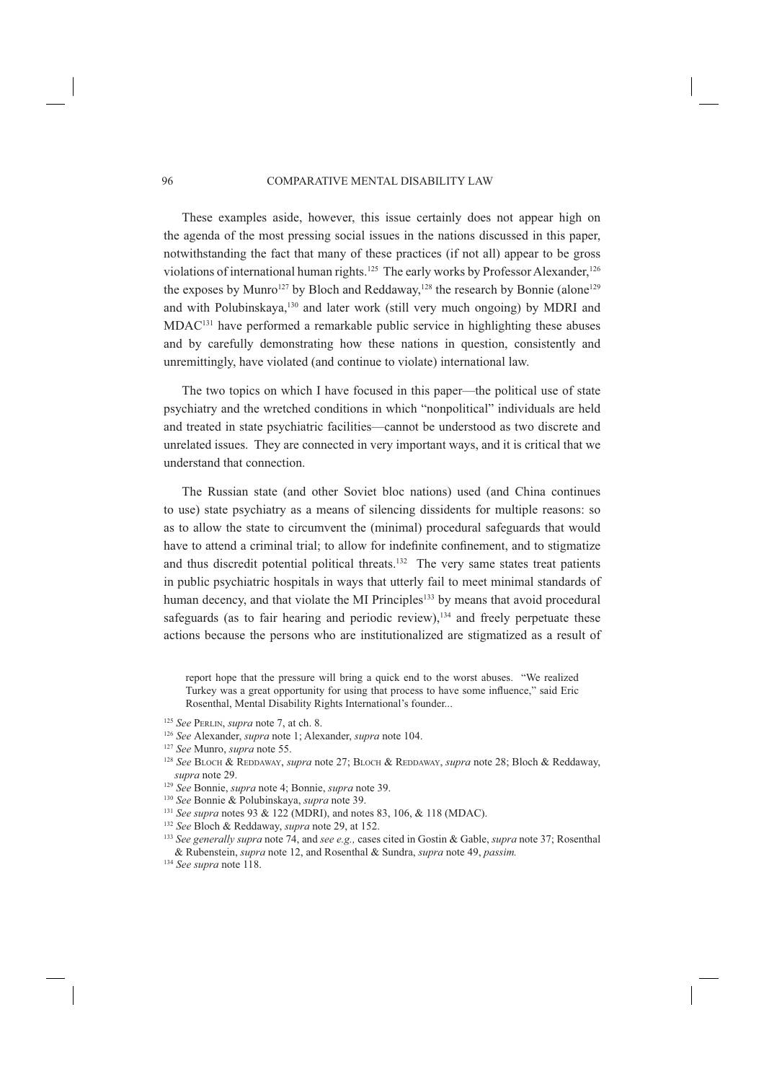These examples aside, however, this issue certainly does not appear high on the agenda of the most pressing social issues in the nations discussed in this paper, notwithstanding the fact that many of these practices (if not all) appear to be gross violations of international human rights.<sup>125</sup> The early works by Professor Alexander,<sup>126</sup> the exposes by Munro<sup>127</sup> by Bloch and Reddaway,<sup>128</sup> the research by Bonnie (alone<sup>129</sup>) and with Polubinskaya,130 and later work (still very much ongoing) by MDRI and MDAC131 have performed a remarkable public service in highlighting these abuses and by carefully demonstrating how these nations in question, consistently and unremittingly, have violated (and continue to violate) international law.

The two topics on which I have focused in this paper—the political use of state psychiatry and the wretched conditions in which "nonpolitical" individuals are held and treated in state psychiatric facilities—cannot be understood as two discrete and unrelated issues. They are connected in very important ways, and it is critical that we understand that connection.

The Russian state (and other Soviet bloc nations) used (and China continues to use) state psychiatry as a means of silencing dissidents for multiple reasons: so as to allow the state to circumvent the (minimal) procedural safeguards that would have to attend a criminal trial; to allow for indefinite confinement, and to stigmatize and thus discredit potential political threats.<sup>132</sup> The very same states treat patients in public psychiatric hospitals in ways that utterly fail to meet minimal standards of human decency, and that violate the MI Principles<sup>133</sup> by means that avoid procedural safeguards (as to fair hearing and periodic review), $134$  and freely perpetuate these actions because the persons who are institutionalized are stigmatized as a result of

report hope that the pressure will bring a quick end to the worst abuses. "We realized Turkey was a great opportunity for using that process to have some influence," said Eric Rosenthal, Mental Disability Rights International's founder...

- <sup>131</sup> *See supra* notes 93 & 122 (MDRI), and notes 83, 106, & 118 (MDAC).
- <sup>132</sup> *See* Bloch & Reddaway, *supra* note 29, at 152.

<sup>125</sup> *See* PERLIN, *supra* note 7, at ch. 8.

<sup>126</sup> *See* Alexander, *supra* note 1; Alexander, *supra* note 104.

<sup>127</sup> *See* Munro, *supra* note 55.

<sup>128</sup> *See* BLOCH & REDDAWAY, *supra* note 27; BLOCH & REDDAWAY, *supra* note 28; Bloch & Reddaway, *supra* note 29.

<sup>129</sup> *See* Bonnie, *supra* note 4; Bonnie, *supra* note 39.

<sup>130</sup> *See* Bonnie & Polubinskaya, *supra* note 39.

<sup>133</sup> *See generally supra* note 74, and *see e.g.,* cases cited in Gostin & Gable, *supra* note 37; Rosenthal & Rubenstein, *supra* note 12, and Rosenthal & Sundra, *supra* note 49, *passim.*

<sup>134</sup> *See supra* note 118.